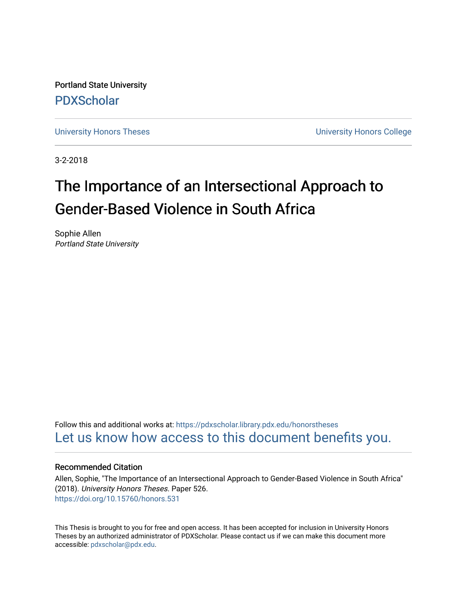Portland State University [PDXScholar](https://pdxscholar.library.pdx.edu/)

[University Honors Theses](https://pdxscholar.library.pdx.edu/honorstheses) [University Honors College](https://pdxscholar.library.pdx.edu/honors) 

3-2-2018

# The Importance of an Intersectional Approach to Gender-Based Violence in South Africa

Sophie Allen Portland State University

Follow this and additional works at: [https://pdxscholar.library.pdx.edu/honorstheses](https://pdxscholar.library.pdx.edu/honorstheses?utm_source=pdxscholar.library.pdx.edu%2Fhonorstheses%2F526&utm_medium=PDF&utm_campaign=PDFCoverPages)  [Let us know how access to this document benefits you.](http://library.pdx.edu/services/pdxscholar-services/pdxscholar-feedback/) 

# Recommended Citation

Allen, Sophie, "The Importance of an Intersectional Approach to Gender-Based Violence in South Africa" (2018). University Honors Theses. Paper 526. <https://doi.org/10.15760/honors.531>

This Thesis is brought to you for free and open access. It has been accepted for inclusion in University Honors Theses by an authorized administrator of PDXScholar. Please contact us if we can make this document more accessible: [pdxscholar@pdx.edu.](mailto:pdxscholar@pdx.edu)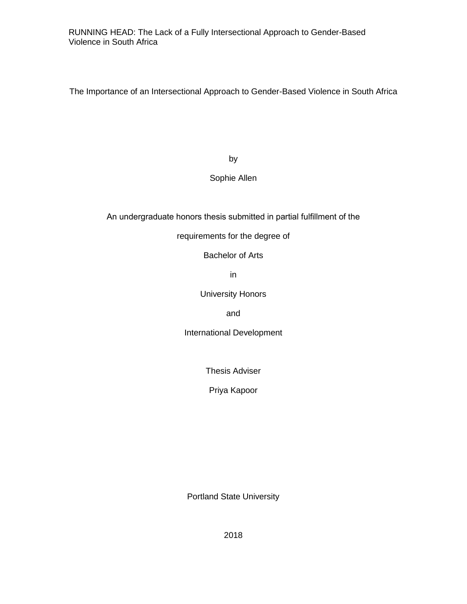The Importance of an Intersectional Approach to Gender-Based Violence in South Africa

by

# Sophie Allen

An undergraduate honors thesis submitted in partial fulfillment of the

# requirements for the degree of

Bachelor of Arts

in

University Honors

and

International Development

Thesis Adviser

Priya Kapoor

Portland State University

2018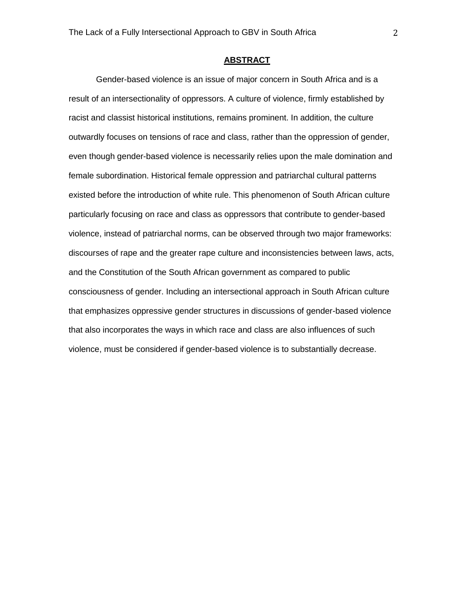# **ABSTRACT**

Gender-based violence is an issue of major concern in South Africa and is a result of an intersectionality of oppressors. A culture of violence, firmly established by racist and classist historical institutions, remains prominent. In addition, the culture outwardly focuses on tensions of race and class, rather than the oppression of gender, even though gender-based violence is necessarily relies upon the male domination and female subordination. Historical female oppression and patriarchal cultural patterns existed before the introduction of white rule. This phenomenon of South African culture particularly focusing on race and class as oppressors that contribute to gender-based violence, instead of patriarchal norms, can be observed through two major frameworks: discourses of rape and the greater rape culture and inconsistencies between laws, acts, and the Constitution of the South African government as compared to public consciousness of gender. Including an intersectional approach in South African culture that emphasizes oppressive gender structures in discussions of gender-based violence that also incorporates the ways in which race and class are also influences of such violence, must be considered if gender-based violence is to substantially decrease.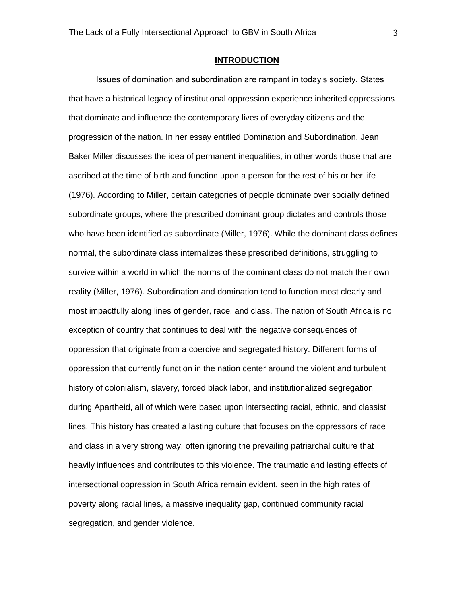# **INTRODUCTION**

Issues of domination and subordination are rampant in today's society. States that have a historical legacy of institutional oppression experience inherited oppressions that dominate and influence the contemporary lives of everyday citizens and the progression of the nation. In her essay entitled Domination and Subordination, Jean Baker Miller discusses the idea of permanent inequalities, in other words those that are ascribed at the time of birth and function upon a person for the rest of his or her life (1976). According to Miller, certain categories of people dominate over socially defined subordinate groups, where the prescribed dominant group dictates and controls those who have been identified as subordinate (Miller, 1976). While the dominant class defines normal, the subordinate class internalizes these prescribed definitions, struggling to survive within a world in which the norms of the dominant class do not match their own reality (Miller, 1976). Subordination and domination tend to function most clearly and most impactfully along lines of gender, race, and class. The nation of South Africa is no exception of country that continues to deal with the negative consequences of oppression that originate from a coercive and segregated history. Different forms of oppression that currently function in the nation center around the violent and turbulent history of colonialism, slavery, forced black labor, and institutionalized segregation during Apartheid, all of which were based upon intersecting racial, ethnic, and classist lines. This history has created a lasting culture that focuses on the oppressors of race and class in a very strong way, often ignoring the prevailing patriarchal culture that heavily influences and contributes to this violence. The traumatic and lasting effects of intersectional oppression in South Africa remain evident, seen in the high rates of poverty along racial lines, a massive inequality gap, continued community racial segregation, and gender violence.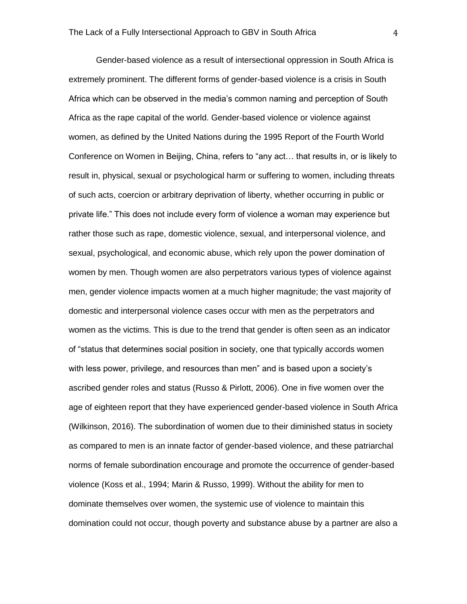Gender-based violence as a result of intersectional oppression in South Africa is extremely prominent. The different forms of gender-based violence is a crisis in South Africa which can be observed in the media's common naming and perception of South Africa as the rape capital of the world. Gender-based violence or violence against women, as defined by the United Nations during the 1995 Report of the Fourth World Conference on Women in Beijing, China, refers to "any act… that results in, or is likely to result in, physical, sexual or psychological harm or suffering to women, including threats of such acts, coercion or arbitrary deprivation of liberty, whether occurring in public or private life." This does not include every form of violence a woman may experience but rather those such as rape, domestic violence, sexual, and interpersonal violence, and sexual, psychological, and economic abuse, which rely upon the power domination of women by men. Though women are also perpetrators various types of violence against men, gender violence impacts women at a much higher magnitude; the vast majority of domestic and interpersonal violence cases occur with men as the perpetrators and women as the victims. This is due to the trend that gender is often seen as an indicator of "status that determines social position in society, one that typically accords women with less power, privilege, and resources than men" and is based upon a society's ascribed gender roles and status (Russo & Pirlott, 2006). One in five women over the age of eighteen report that they have experienced gender-based violence in South Africa (Wilkinson, 2016). The subordination of women due to their diminished status in society as compared to men is an innate factor of gender-based violence, and these patriarchal norms of female subordination encourage and promote the occurrence of gender-based violence (Koss et al., 1994; Marin & Russo, 1999). Without the ability for men to dominate themselves over women, the systemic use of violence to maintain this domination could not occur, though poverty and substance abuse by a partner are also a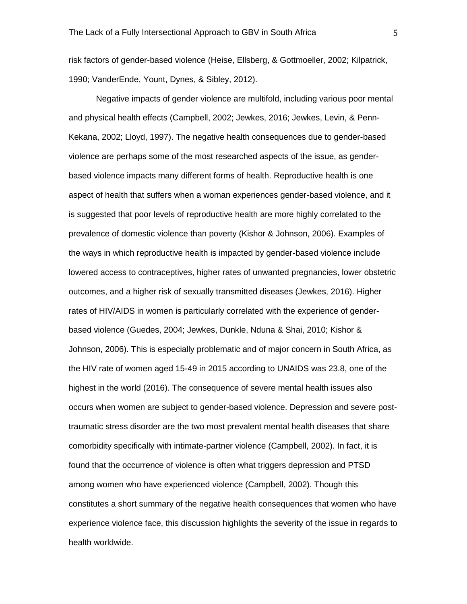risk factors of gender-based violence (Heise, Ellsberg, & Gottmoeller, 2002; Kilpatrick, 1990; VanderEnde, Yount, Dynes, & Sibley, 2012).

Negative impacts of gender violence are multifold, including various poor mental and physical health effects (Campbell, 2002; Jewkes, 2016; Jewkes, Levin, & Penn-Kekana, 2002; Lloyd, 1997). The negative health consequences due to gender-based violence are perhaps some of the most researched aspects of the issue, as genderbased violence impacts many different forms of health. Reproductive health is one aspect of health that suffers when a woman experiences gender-based violence, and it is suggested that poor levels of reproductive health are more highly correlated to the prevalence of domestic violence than poverty (Kishor & Johnson, 2006). Examples of the ways in which reproductive health is impacted by gender-based violence include lowered access to contraceptives, higher rates of unwanted pregnancies, lower obstetric outcomes, and a higher risk of sexually transmitted diseases (Jewkes, 2016). Higher rates of HIV/AIDS in women is particularly correlated with the experience of genderbased violence (Guedes, 2004; Jewkes, Dunkle, Nduna & Shai, 2010; Kishor & Johnson, 2006). This is especially problematic and of major concern in South Africa, as the HIV rate of women aged 15-49 in 2015 according to UNAIDS was 23.8, one of the highest in the world (2016). The consequence of severe mental health issues also occurs when women are subject to gender-based violence. Depression and severe posttraumatic stress disorder are the two most prevalent mental health diseases that share comorbidity specifically with intimate-partner violence (Campbell, 2002). In fact, it is found that the occurrence of violence is often what triggers depression and PTSD among women who have experienced violence (Campbell, 2002). Though this constitutes a short summary of the negative health consequences that women who have experience violence face, this discussion highlights the severity of the issue in regards to health worldwide.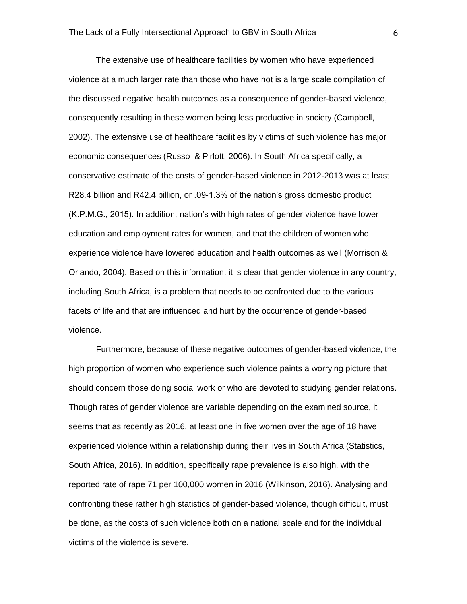The extensive use of healthcare facilities by women who have experienced violence at a much larger rate than those who have not is a large scale compilation of the discussed negative health outcomes as a consequence of gender-based violence, consequently resulting in these women being less productive in society (Campbell, 2002). The extensive use of healthcare facilities by victims of such violence has major economic consequences (Russo & Pirlott, 2006). In South Africa specifically, a conservative estimate of the costs of gender-based violence in 2012-2013 was at least R28.4 billion and R42.4 billion, or .09-1.3% of the nation's gross domestic product (K.P.M.G., 2015). In addition, nation's with high rates of gender violence have lower education and employment rates for women, and that the children of women who experience violence have lowered education and health outcomes as well (Morrison & Orlando, 2004). Based on this information, it is clear that gender violence in any country, including South Africa, is a problem that needs to be confronted due to the various facets of life and that are influenced and hurt by the occurrence of gender-based violence.

Furthermore, because of these negative outcomes of gender-based violence, the high proportion of women who experience such violence paints a worrying picture that should concern those doing social work or who are devoted to studying gender relations. Though rates of gender violence are variable depending on the examined source, it seems that as recently as 2016, at least one in five women over the age of 18 have experienced violence within a relationship during their lives in South Africa (Statistics, South Africa, 2016). In addition, specifically rape prevalence is also high, with the reported rate of rape 71 per 100,000 women in 2016 (Wilkinson, 2016). Analysing and confronting these rather high statistics of gender-based violence, though difficult, must be done, as the costs of such violence both on a national scale and for the individual victims of the violence is severe.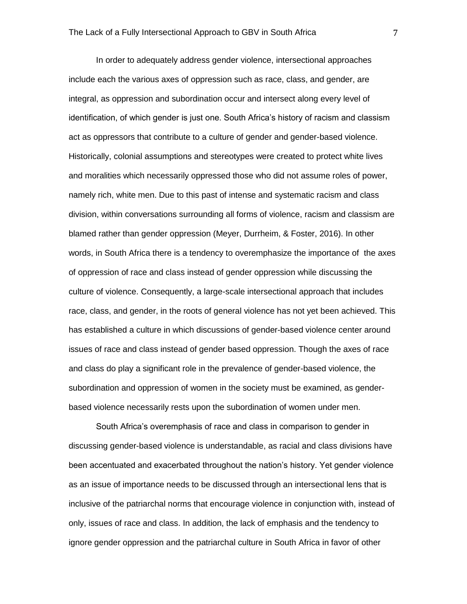In order to adequately address gender violence, intersectional approaches include each the various axes of oppression such as race, class, and gender, are integral, as oppression and subordination occur and intersect along every level of identification, of which gender is just one. South Africa's history of racism and classism act as oppressors that contribute to a culture of gender and gender-based violence. Historically, colonial assumptions and stereotypes were created to protect white lives and moralities which necessarily oppressed those who did not assume roles of power, namely rich, white men. Due to this past of intense and systematic racism and class division, within conversations surrounding all forms of violence, racism and classism are blamed rather than gender oppression (Meyer, Durrheim, & Foster, 2016). In other words, in South Africa there is a tendency to overemphasize the importance of the axes of oppression of race and class instead of gender oppression while discussing the culture of violence. Consequently, a large-scale intersectional approach that includes race, class, and gender, in the roots of general violence has not yet been achieved. This has established a culture in which discussions of gender-based violence center around issues of race and class instead of gender based oppression. Though the axes of race and class do play a significant role in the prevalence of gender-based violence, the subordination and oppression of women in the society must be examined, as genderbased violence necessarily rests upon the subordination of women under men.

South Africa's overemphasis of race and class in comparison to gender in discussing gender-based violence is understandable, as racial and class divisions have been accentuated and exacerbated throughout the nation's history. Yet gender violence as an issue of importance needs to be discussed through an intersectional lens that is inclusive of the patriarchal norms that encourage violence in conjunction with, instead of only, issues of race and class. In addition, the lack of emphasis and the tendency to ignore gender oppression and the patriarchal culture in South Africa in favor of other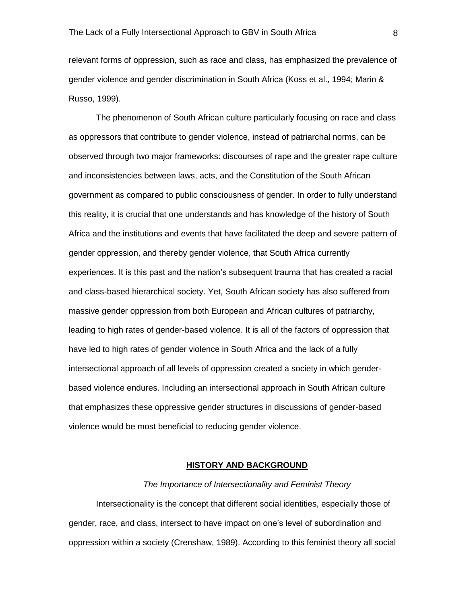relevant forms of oppression, such as race and class, has emphasized the prevalence of gender violence and gender discrimination in South Africa (Koss et al., 1994; Marin & Russo, 1999).

The phenomenon of South African culture particularly focusing on race and class as oppressors that contribute to gender violence, instead of patriarchal norms, can be observed through two major frameworks: discourses of rape and the greater rape culture and inconsistencies between laws, acts, and the Constitution of the South African government as compared to public consciousness of gender. In order to fully understand this reality, it is crucial that one understands and has knowledge of the history of South Africa and the institutions and events that have facilitated the deep and severe pattern of gender oppression, and thereby gender violence, that South Africa currently experiences. It is this past and the nation's subsequent trauma that has created a racial and class-based hierarchical society. Yet, South African society has also suffered from massive gender oppression from both European and African cultures of patriarchy, leading to high rates of gender-based violence. It is all of the factors of oppression that have led to high rates of gender violence in South Africa and the lack of a fully intersectional approach of all levels of oppression created a society in which genderbased violence endures. Including an intersectional approach in South African culture that emphasizes these oppressive gender structures in discussions of gender-based violence would be most beneficial to reducing gender violence.

# **HISTORY AND BACKGROUND**

#### *The Importance of Intersectionality and Feminist Theory*

Intersectionality is the concept that different social identities, especially those of gender, race, and class, intersect to have impact on one's level of subordination and oppression within a society (Crenshaw, 1989). According to this feminist theory all social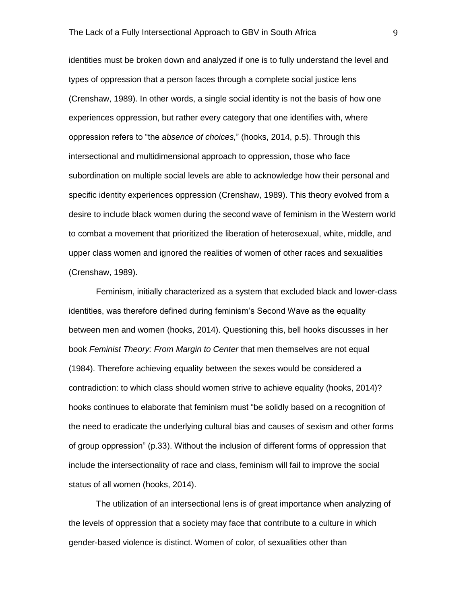identities must be broken down and analyzed if one is to fully understand the level and types of oppression that a person faces through a complete social justice lens (Crenshaw, 1989). In other words, a single social identity is not the basis of how one experiences oppression, but rather every category that one identifies with, where oppression refers to "the *absence of choices,*" (hooks, 2014, p.5). Through this intersectional and multidimensional approach to oppression, those who face subordination on multiple social levels are able to acknowledge how their personal and specific identity experiences oppression (Crenshaw, 1989). This theory evolved from a desire to include black women during the second wave of feminism in the Western world to combat a movement that prioritized the liberation of heterosexual, white, middle, and upper class women and ignored the realities of women of other races and sexualities (Crenshaw, 1989).

Feminism, initially characterized as a system that excluded black and lower-class identities, was therefore defined during feminism's Second Wave as the equality between men and women (hooks, 2014). Questioning this, bell hooks discusses in her book *Feminist Theory: From Margin to Center* that men themselves are not equal (1984). Therefore achieving equality between the sexes would be considered a contradiction: to which class should women strive to achieve equality (hooks, 2014)? hooks continues to elaborate that feminism must "be solidly based on a recognition of the need to eradicate the underlying cultural bias and causes of sexism and other forms of group oppression" (p.33). Without the inclusion of different forms of oppression that include the intersectionality of race and class, feminism will fail to improve the social status of all women (hooks, 2014).

The utilization of an intersectional lens is of great importance when analyzing of the levels of oppression that a society may face that contribute to a culture in which gender-based violence is distinct. Women of color, of sexualities other than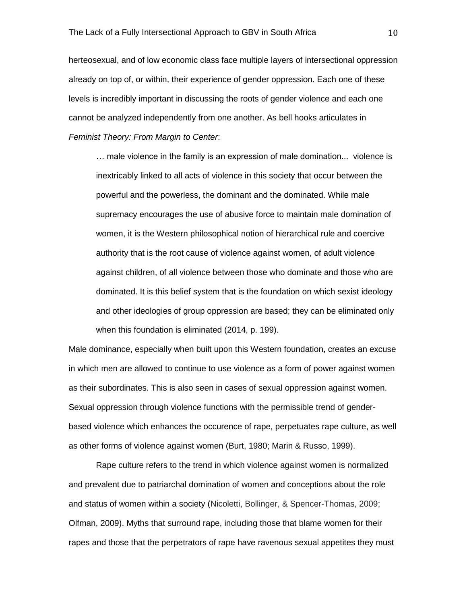herteosexual, and of low economic class face multiple layers of intersectional oppression already on top of, or within, their experience of gender oppression. Each one of these levels is incredibly important in discussing the roots of gender violence and each one cannot be analyzed independently from one another. As bell hooks articulates in *Feminist Theory: From Margin to Center*:

… male violence in the family is an expression of male domination... violence is inextricably linked to all acts of violence in this society that occur between the powerful and the powerless, the dominant and the dominated. While male supremacy encourages the use of abusive force to maintain male domination of women, it is the Western philosophical notion of hierarchical rule and coercive authority that is the root cause of violence against women, of adult violence against children, of all violence between those who dominate and those who are dominated. It is this belief system that is the foundation on which sexist ideology and other ideologies of group oppression are based; they can be eliminated only when this foundation is eliminated (2014, p. 199).

Male dominance, especially when built upon this Western foundation, creates an excuse in which men are allowed to continue to use violence as a form of power against women as their subordinates. This is also seen in cases of sexual oppression against women. Sexual oppression through violence functions with the permissible trend of genderbased violence which enhances the occurence of rape, perpetuates rape culture, as well as other forms of violence against women (Burt, 1980; Marin & Russo, 1999).

Rape culture refers to the trend in which violence against women is normalized and prevalent due to patriarchal domination of women and conceptions about the role and status of women within a society (Nicoletti, Bollinger, & Spencer-Thomas, 2009; Olfman, 2009). Myths that surround rape, including those that blame women for their rapes and those that the perpetrators of rape have ravenous sexual appetites they must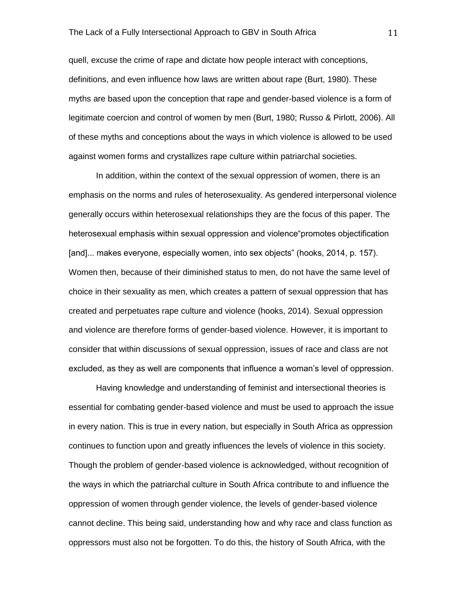quell, excuse the crime of rape and dictate how people interact with conceptions, definitions, and even influence how laws are written about rape (Burt, 1980). These myths are based upon the conception that rape and gender-based violence is a form of legitimate coercion and control of women by men (Burt, 1980; Russo & Pirlott, 2006). All of these myths and conceptions about the ways in which violence is allowed to be used against women forms and crystallizes rape culture within patriarchal societies.

In addition, within the context of the sexual oppression of women, there is an emphasis on the norms and rules of heterosexuality. As gendered interpersonal violence generally occurs within heterosexual relationships they are the focus of this paper. The heterosexual emphasis within sexual oppression and violence"promotes objectification [and]... makes everyone, especially women, into sex objects" (hooks, 2014, p. 157). Women then, because of their diminished status to men, do not have the same level of choice in their sexuality as men, which creates a pattern of sexual oppression that has created and perpetuates rape culture and violence (hooks, 2014). Sexual oppression and violence are therefore forms of gender-based violence. However, it is important to consider that within discussions of sexual oppression, issues of race and class are not excluded, as they as well are components that influence a woman's level of oppression.

Having knowledge and understanding of feminist and intersectional theories is essential for combating gender-based violence and must be used to approach the issue in every nation. This is true in every nation, but especially in South Africa as oppression continues to function upon and greatly influences the levels of violence in this society. Though the problem of gender-based violence is acknowledged, without recognition of the ways in which the patriarchal culture in South Africa contribute to and influence the oppression of women through gender violence, the levels of gender-based violence cannot decline. This being said, understanding how and why race and class function as oppressors must also not be forgotten. To do this, the history of South Africa, with the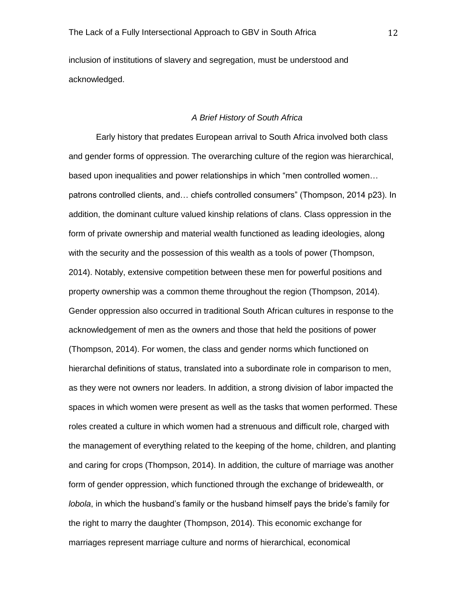inclusion of institutions of slavery and segregation, must be understood and acknowledged.

# *A Brief History of South Africa*

Early history that predates European arrival to South Africa involved both class and gender forms of oppression. The overarching culture of the region was hierarchical, based upon inequalities and power relationships in which "men controlled women… patrons controlled clients, and… chiefs controlled consumers" (Thompson, 2014 p23). In addition, the dominant culture valued kinship relations of clans. Class oppression in the form of private ownership and material wealth functioned as leading ideologies, along with the security and the possession of this wealth as a tools of power (Thompson, 2014). Notably, extensive competition between these men for powerful positions and property ownership was a common theme throughout the region (Thompson, 2014). Gender oppression also occurred in traditional South African cultures in response to the acknowledgement of men as the owners and those that held the positions of power (Thompson, 2014). For women, the class and gender norms which functioned on hierarchal definitions of status, translated into a subordinate role in comparison to men, as they were not owners nor leaders. In addition, a strong division of labor impacted the spaces in which women were present as well as the tasks that women performed. These roles created a culture in which women had a strenuous and difficult role, charged with the management of everything related to the keeping of the home, children, and planting and caring for crops (Thompson, 2014). In addition, the culture of marriage was another form of gender oppression, which functioned through the exchange of bridewealth, or *lobola*, in which the husband's family or the husband himself pays the bride's family for the right to marry the daughter (Thompson, 2014). This economic exchange for marriages represent marriage culture and norms of hierarchical, economical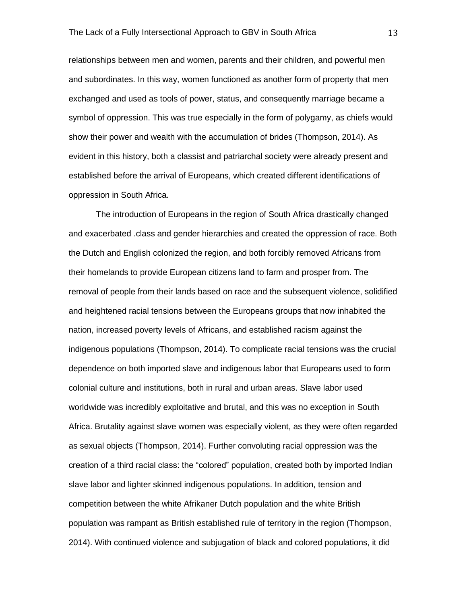relationships between men and women, parents and their children, and powerful men and subordinates. In this way, women functioned as another form of property that men exchanged and used as tools of power, status, and consequently marriage became a symbol of oppression. This was true especially in the form of polygamy, as chiefs would show their power and wealth with the accumulation of brides (Thompson, 2014). As evident in this history, both a classist and patriarchal society were already present and established before the arrival of Europeans, which created different identifications of oppression in South Africa.

The introduction of Europeans in the region of South Africa drastically changed and exacerbated .class and gender hierarchies and created the oppression of race. Both the Dutch and English colonized the region, and both forcibly removed Africans from their homelands to provide European citizens land to farm and prosper from. The removal of people from their lands based on race and the subsequent violence, solidified and heightened racial tensions between the Europeans groups that now inhabited the nation, increased poverty levels of Africans, and established racism against the indigenous populations (Thompson, 2014). To complicate racial tensions was the crucial dependence on both imported slave and indigenous labor that Europeans used to form colonial culture and institutions, both in rural and urban areas. Slave labor used worldwide was incredibly exploitative and brutal, and this was no exception in South Africa. Brutality against slave women was especially violent, as they were often regarded as sexual objects (Thompson, 2014). Further convoluting racial oppression was the creation of a third racial class: the "colored" population, created both by imported Indian slave labor and lighter skinned indigenous populations. In addition, tension and competition between the white Afrikaner Dutch population and the white British population was rampant as British established rule of territory in the region (Thompson, 2014). With continued violence and subjugation of black and colored populations, it did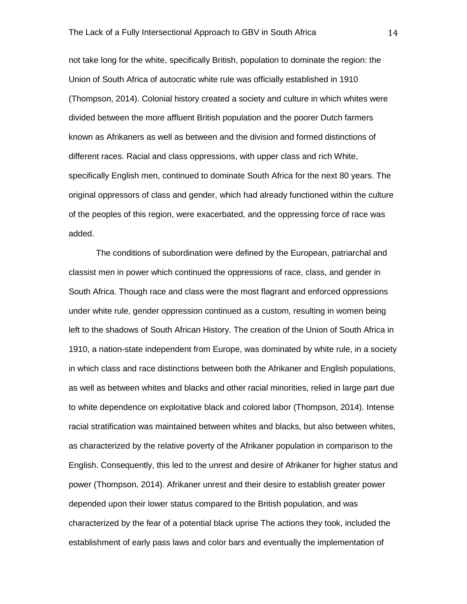not take long for the white, specifically British, population to dominate the region: the Union of South Africa of autocratic white rule was officially established in 1910 (Thompson, 2014). Colonial history created a society and culture in which whites were divided between the more affluent British population and the poorer Dutch farmers known as Afrikaners as well as between and the division and formed distinctions of different races. Racial and class oppressions, with upper class and rich White, specifically English men, continued to dominate South Africa for the next 80 years. The original oppressors of class and gender, which had already functioned within the culture of the peoples of this region, were exacerbated, and the oppressing force of race was added.

The conditions of subordination were defined by the European, patriarchal and classist men in power which continued the oppressions of race, class, and gender in South Africa. Though race and class were the most flagrant and enforced oppressions under white rule, gender oppression continued as a custom, resulting in women being left to the shadows of South African History. The creation of the Union of South Africa in 1910, a nation-state independent from Europe, was dominated by white rule, in a society in which class and race distinctions between both the Afrikaner and English populations, as well as between whites and blacks and other racial minorities, relied in large part due to white dependence on exploitative black and colored labor (Thompson, 2014). Intense racial stratification was maintained between whites and blacks, but also between whites, as characterized by the relative poverty of the Afrikaner population in comparison to the English. Consequently, this led to the unrest and desire of Afrikaner for higher status and power (Thompson, 2014). Afrikaner unrest and their desire to establish greater power depended upon their lower status compared to the British population, and was characterized by the fear of a potential black uprise The actions they took, included the establishment of early pass laws and color bars and eventually the implementation of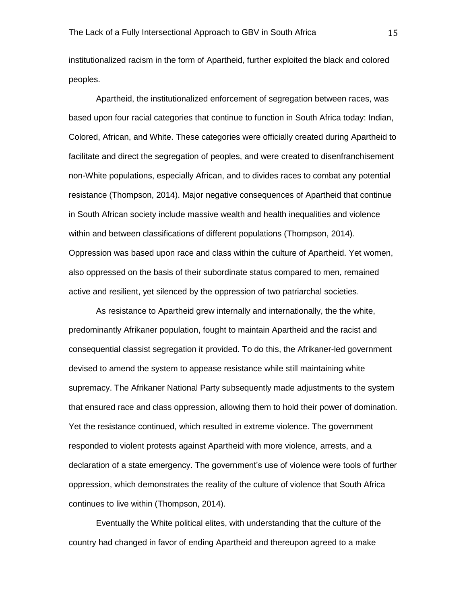institutionalized racism in the form of Apartheid, further exploited the black and colored peoples.

Apartheid, the institutionalized enforcement of segregation between races, was based upon four racial categories that continue to function in South Africa today: Indian, Colored, African, and White. These categories were officially created during Apartheid to facilitate and direct the segregation of peoples, and were created to disenfranchisement non-White populations, especially African, and to divides races to combat any potential resistance (Thompson, 2014). Major negative consequences of Apartheid that continue in South African society include massive wealth and health inequalities and violence within and between classifications of different populations (Thompson, 2014). Oppression was based upon race and class within the culture of Apartheid. Yet women, also oppressed on the basis of their subordinate status compared to men, remained active and resilient, yet silenced by the oppression of two patriarchal societies.

As resistance to Apartheid grew internally and internationally, the the white, predominantly Afrikaner population, fought to maintain Apartheid and the racist and consequential classist segregation it provided. To do this, the Afrikaner-led government devised to amend the system to appease resistance while still maintaining white supremacy. The Afrikaner National Party subsequently made adjustments to the system that ensured race and class oppression, allowing them to hold their power of domination. Yet the resistance continued, which resulted in extreme violence. The government responded to violent protests against Apartheid with more violence, arrests, and a declaration of a state emergency. The government's use of violence were tools of further oppression, which demonstrates the reality of the culture of violence that South Africa continues to live within (Thompson, 2014).

Eventually the White political elites, with understanding that the culture of the country had changed in favor of ending Apartheid and thereupon agreed to a make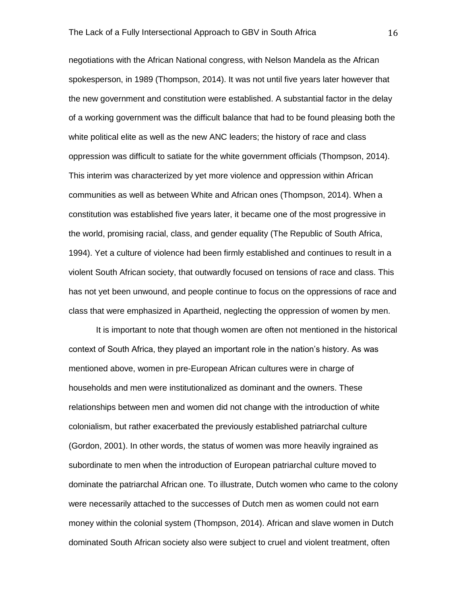negotiations with the African National congress, with Nelson Mandela as the African spokesperson, in 1989 (Thompson, 2014). It was not until five years later however that the new government and constitution were established. A substantial factor in the delay of a working government was the difficult balance that had to be found pleasing both the white political elite as well as the new ANC leaders; the history of race and class oppression was difficult to satiate for the white government officials (Thompson, 2014). This interim was characterized by yet more violence and oppression within African communities as well as between White and African ones (Thompson, 2014). When a constitution was established five years later, it became one of the most progressive in the world, promising racial, class, and gender equality (The Republic of South Africa, 1994). Yet a culture of violence had been firmly established and continues to result in a violent South African society, that outwardly focused on tensions of race and class. This has not yet been unwound, and people continue to focus on the oppressions of race and class that were emphasized in Apartheid, neglecting the oppression of women by men.

It is important to note that though women are often not mentioned in the historical context of South Africa, they played an important role in the nation's history. As was mentioned above, women in pre-European African cultures were in charge of households and men were institutionalized as dominant and the owners. These relationships between men and women did not change with the introduction of white colonialism, but rather exacerbated the previously established patriarchal culture (Gordon, 2001). In other words, the status of women was more heavily ingrained as subordinate to men when the introduction of European patriarchal culture moved to dominate the patriarchal African one. To illustrate, Dutch women who came to the colony were necessarily attached to the successes of Dutch men as women could not earn money within the colonial system (Thompson, 2014). African and slave women in Dutch dominated South African society also were subject to cruel and violent treatment, often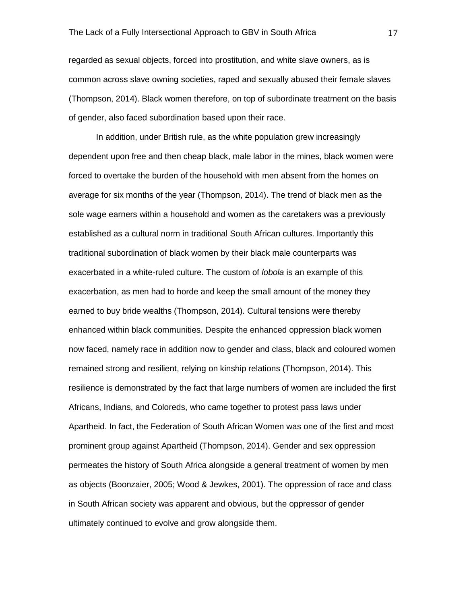regarded as sexual objects, forced into prostitution, and white slave owners, as is common across slave owning societies, raped and sexually abused their female slaves (Thompson, 2014). Black women therefore, on top of subordinate treatment on the basis of gender, also faced subordination based upon their race.

In addition, under British rule, as the white population grew increasingly dependent upon free and then cheap black, male labor in the mines, black women were forced to overtake the burden of the household with men absent from the homes on average for six months of the year (Thompson, 2014). The trend of black men as the sole wage earners within a household and women as the caretakers was a previously established as a cultural norm in traditional South African cultures. Importantly this traditional subordination of black women by their black male counterparts was exacerbated in a white-ruled culture. The custom of *lobola* is an example of this exacerbation, as men had to horde and keep the small amount of the money they earned to buy bride wealths (Thompson, 2014). Cultural tensions were thereby enhanced within black communities. Despite the enhanced oppression black women now faced, namely race in addition now to gender and class, black and coloured women remained strong and resilient, relying on kinship relations (Thompson, 2014). This resilience is demonstrated by the fact that large numbers of women are included the first Africans, Indians, and Coloreds, who came together to protest pass laws under Apartheid. In fact, the Federation of South African Women was one of the first and most prominent group against Apartheid (Thompson, 2014). Gender and sex oppression permeates the history of South Africa alongside a general treatment of women by men as objects (Boonzaier, 2005; Wood & Jewkes, 2001). The oppression of race and class in South African society was apparent and obvious, but the oppressor of gender ultimately continued to evolve and grow alongside them.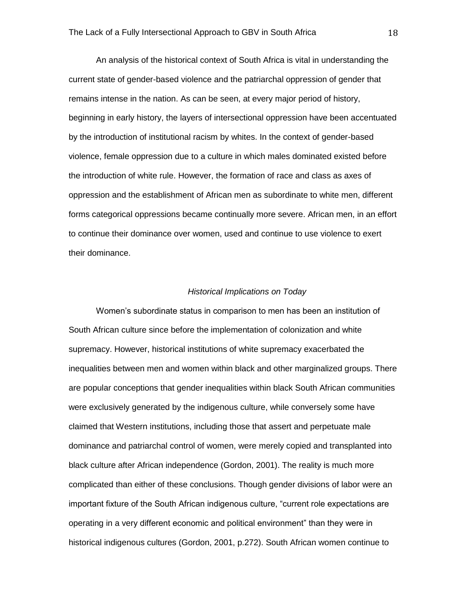An analysis of the historical context of South Africa is vital in understanding the current state of gender-based violence and the patriarchal oppression of gender that remains intense in the nation. As can be seen, at every major period of history, beginning in early history, the layers of intersectional oppression have been accentuated by the introduction of institutional racism by whites. In the context of gender-based violence, female oppression due to a culture in which males dominated existed before the introduction of white rule. However, the formation of race and class as axes of oppression and the establishment of African men as subordinate to white men, different forms categorical oppressions became continually more severe. African men, in an effort to continue their dominance over women, used and continue to use violence to exert their dominance.

# *Historical Implications on Today*

Women's subordinate status in comparison to men has been an institution of South African culture since before the implementation of colonization and white supremacy. However, historical institutions of white supremacy exacerbated the inequalities between men and women within black and other marginalized groups. There are popular conceptions that gender inequalities within black South African communities were exclusively generated by the indigenous culture, while conversely some have claimed that Western institutions, including those that assert and perpetuate male dominance and patriarchal control of women, were merely copied and transplanted into black culture after African independence (Gordon, 2001). The reality is much more complicated than either of these conclusions. Though gender divisions of labor were an important fixture of the South African indigenous culture, "current role expectations are operating in a very different economic and political environment" than they were in historical indigenous cultures (Gordon, 2001, p.272). South African women continue to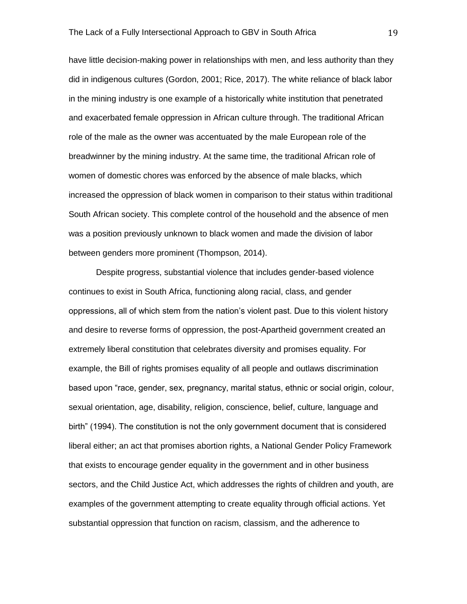have little decision-making power in relationships with men, and less authority than they did in indigenous cultures (Gordon, 2001; Rice, 2017). The white reliance of black labor in the mining industry is one example of a historically white institution that penetrated and exacerbated female oppression in African culture through. The traditional African role of the male as the owner was accentuated by the male European role of the breadwinner by the mining industry. At the same time, the traditional African role of women of domestic chores was enforced by the absence of male blacks, which increased the oppression of black women in comparison to their status within traditional South African society. This complete control of the household and the absence of men was a position previously unknown to black women and made the division of labor between genders more prominent (Thompson, 2014).

Despite progress, substantial violence that includes gender-based violence continues to exist in South Africa, functioning along racial, class, and gender oppressions, all of which stem from the nation's violent past. Due to this violent history and desire to reverse forms of oppression, the post-Apartheid government created an extremely liberal constitution that celebrates diversity and promises equality. For example, the Bill of rights promises equality of all people and outlaws discrimination based upon "race, gender, sex, pregnancy, marital status, ethnic or social origin, colour, sexual orientation, age, disability, religion, conscience, belief, culture, language and birth" (1994). The constitution is not the only government document that is considered liberal either; an act that promises abortion rights, a National Gender Policy Framework that exists to encourage gender equality in the government and in other business sectors, and the Child Justice Act, which addresses the rights of children and youth, are examples of the government attempting to create equality through official actions. Yet substantial oppression that function on racism, classism, and the adherence to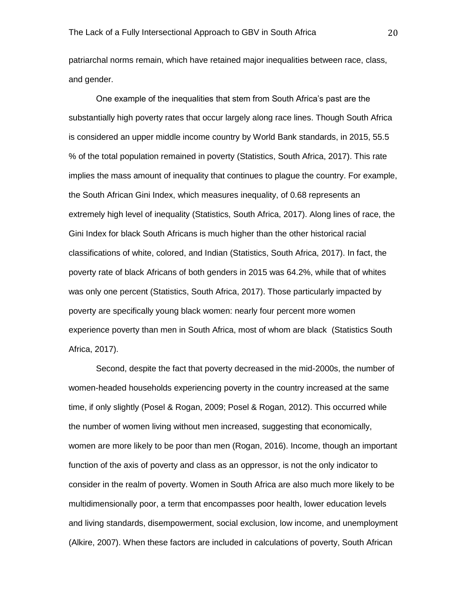patriarchal norms remain, which have retained major inequalities between race, class, and gender.

One example of the inequalities that stem from South Africa's past are the substantially high poverty rates that occur largely along race lines. Though South Africa is considered an upper middle income country by World Bank standards, in 2015, 55.5 % of the total population remained in poverty (Statistics, South Africa, 2017). This rate implies the mass amount of inequality that continues to plague the country. For example, the South African Gini Index, which measures inequality, of 0.68 represents an extremely high level of inequality (Statistics, South Africa, 2017). Along lines of race, the Gini Index for black South Africans is much higher than the other historical racial classifications of white, colored, and Indian (Statistics, South Africa, 2017). In fact, the poverty rate of black Africans of both genders in 2015 was 64.2%, while that of whites was only one percent (Statistics, South Africa, 2017). Those particularly impacted by poverty are specifically young black women: nearly four percent more women experience poverty than men in South Africa, most of whom are black (Statistics South Africa, 2017).

Second, despite the fact that poverty decreased in the mid-2000s, the number of women-headed households experiencing poverty in the country increased at the same time, if only slightly (Posel & Rogan, 2009; Posel & Rogan, 2012). This occurred while the number of women living without men increased, suggesting that economically, women are more likely to be poor than men (Rogan, 2016). Income, though an important function of the axis of poverty and class as an oppressor, is not the only indicator to consider in the realm of poverty. Women in South Africa are also much more likely to be multidimensionally poor, a term that encompasses poor health, lower education levels and living standards, disempowerment, social exclusion, low income, and unemployment (Alkire, 2007). When these factors are included in calculations of poverty, South African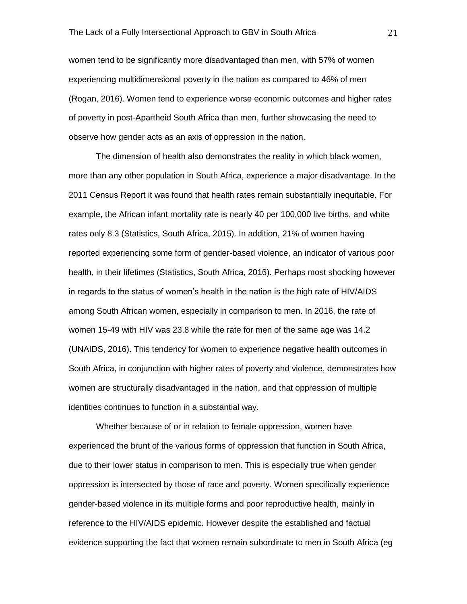women tend to be significantly more disadvantaged than men, with 57% of women experiencing multidimensional poverty in the nation as compared to 46% of men (Rogan, 2016). Women tend to experience worse economic outcomes and higher rates of poverty in post-Apartheid South Africa than men, further showcasing the need to observe how gender acts as an axis of oppression in the nation.

The dimension of health also demonstrates the reality in which black women, more than any other population in South Africa, experience a major disadvantage. In the 2011 Census Report it was found that health rates remain substantially inequitable. For example, the African infant mortality rate is nearly 40 per 100,000 live births, and white rates only 8.3 (Statistics, South Africa, 2015). In addition, 21% of women having reported experiencing some form of gender-based violence, an indicator of various poor health, in their lifetimes (Statistics, South Africa, 2016). Perhaps most shocking however in regards to the status of women's health in the nation is the high rate of HIV/AIDS among South African women, especially in comparison to men. In 2016, the rate of women 15-49 with HIV was 23.8 while the rate for men of the same age was 14.2 (UNAIDS, 2016). This tendency for women to experience negative health outcomes in South Africa, in conjunction with higher rates of poverty and violence, demonstrates how women are structurally disadvantaged in the nation, and that oppression of multiple identities continues to function in a substantial way.

Whether because of or in relation to female oppression, women have experienced the brunt of the various forms of oppression that function in South Africa, due to their lower status in comparison to men. This is especially true when gender oppression is intersected by those of race and poverty. Women specifically experience gender-based violence in its multiple forms and poor reproductive health, mainly in reference to the HIV/AIDS epidemic. However despite the established and factual evidence supporting the fact that women remain subordinate to men in South Africa (eg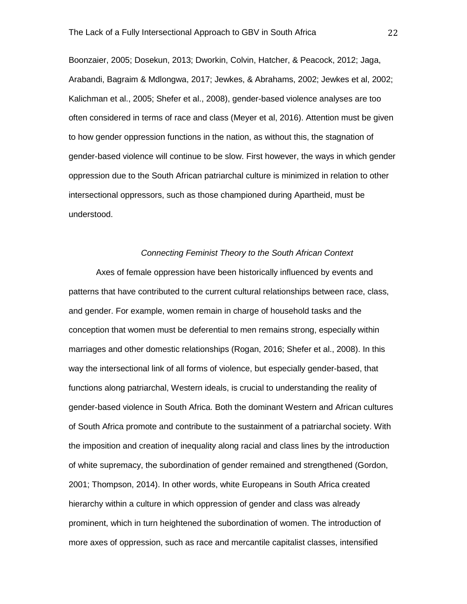Boonzaier, 2005; Dosekun, 2013; Dworkin, Colvin, Hatcher, & Peacock, 2012; Jaga, Arabandi, Bagraim & Mdlongwa, 2017; Jewkes, & Abrahams, 2002; Jewkes et al, 2002; Kalichman et al., 2005; Shefer et al., 2008), gender-based violence analyses are too often considered in terms of race and class (Meyer et al, 2016). Attention must be given to how gender oppression functions in the nation, as without this, the stagnation of gender-based violence will continue to be slow. First however, the ways in which gender oppression due to the South African patriarchal culture is minimized in relation to other intersectional oppressors, such as those championed during Apartheid, must be understood.

# *Connecting Feminist Theory to the South African Context*

Axes of female oppression have been historically influenced by events and patterns that have contributed to the current cultural relationships between race, class, and gender. For example, women remain in charge of household tasks and the conception that women must be deferential to men remains strong, especially within marriages and other domestic relationships (Rogan, 2016; Shefer et al., 2008). In this way the intersectional link of all forms of violence, but especially gender-based, that functions along patriarchal, Western ideals, is crucial to understanding the reality of gender-based violence in South Africa. Both the dominant Western and African cultures of South Africa promote and contribute to the sustainment of a patriarchal society. With the imposition and creation of inequality along racial and class lines by the introduction of white supremacy, the subordination of gender remained and strengthened (Gordon, 2001; Thompson, 2014). In other words, white Europeans in South Africa created hierarchy within a culture in which oppression of gender and class was already prominent, which in turn heightened the subordination of women. The introduction of more axes of oppression, such as race and mercantile capitalist classes, intensified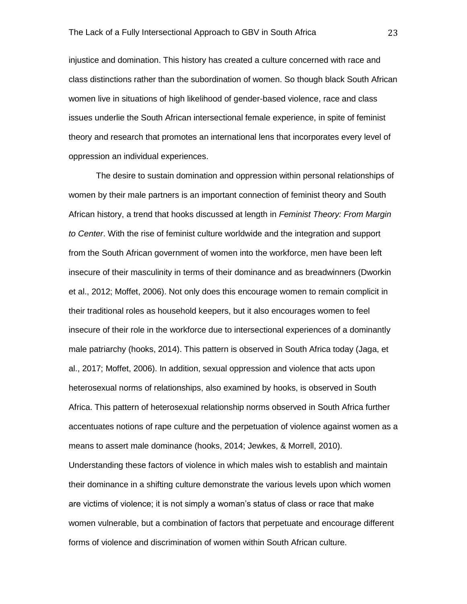injustice and domination. This history has created a culture concerned with race and class distinctions rather than the subordination of women. So though black South African women live in situations of high likelihood of gender-based violence, race and class issues underlie the South African intersectional female experience, in spite of feminist theory and research that promotes an international lens that incorporates every level of oppression an individual experiences.

The desire to sustain domination and oppression within personal relationships of women by their male partners is an important connection of feminist theory and South African history, a trend that hooks discussed at length in *Feminist Theory: From Margin to Center*. With the rise of feminist culture worldwide and the integration and support from the South African government of women into the workforce, men have been left insecure of their masculinity in terms of their dominance and as breadwinners (Dworkin et al., 2012; Moffet, 2006). Not only does this encourage women to remain complicit in their traditional roles as household keepers, but it also encourages women to feel insecure of their role in the workforce due to intersectional experiences of a dominantly male patriarchy (hooks, 2014). This pattern is observed in South Africa today (Jaga, et al., 2017; Moffet, 2006). In addition, sexual oppression and violence that acts upon heterosexual norms of relationships, also examined by hooks, is observed in South Africa. This pattern of heterosexual relationship norms observed in South Africa further accentuates notions of rape culture and the perpetuation of violence against women as a means to assert male dominance (hooks, 2014; Jewkes, & Morrell, 2010).

Understanding these factors of violence in which males wish to establish and maintain their dominance in a shifting culture demonstrate the various levels upon which women are victims of violence; it is not simply a woman's status of class or race that make women vulnerable, but a combination of factors that perpetuate and encourage different forms of violence and discrimination of women within South African culture.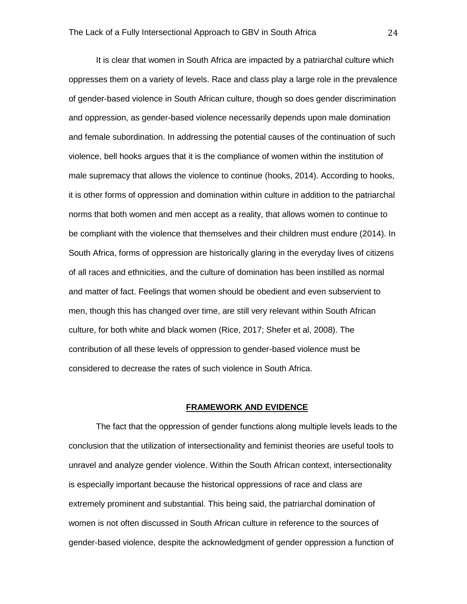It is clear that women in South Africa are impacted by a patriarchal culture which oppresses them on a variety of levels. Race and class play a large role in the prevalence of gender-based violence in South African culture, though so does gender discrimination and oppression, as gender-based violence necessarily depends upon male domination and female subordination. In addressing the potential causes of the continuation of such violence, bell hooks argues that it is the compliance of women within the institution of male supremacy that allows the violence to continue (hooks, 2014). According to hooks, it is other forms of oppression and domination within culture in addition to the patriarchal norms that both women and men accept as a reality, that allows women to continue to be compliant with the violence that themselves and their children must endure (2014). In South Africa, forms of oppression are historically glaring in the everyday lives of citizens of all races and ethnicities, and the culture of domination has been instilled as normal and matter of fact. Feelings that women should be obedient and even subservient to men, though this has changed over time, are still very relevant within South African culture, for both white and black women (Rice, 2017; Shefer et al, 2008). The contribution of all these levels of oppression to gender-based violence must be considered to decrease the rates of such violence in South Africa.

### **FRAMEWORK AND EVIDENCE**

The fact that the oppression of gender functions along multiple levels leads to the conclusion that the utilization of intersectionality and feminist theories are useful tools to unravel and analyze gender violence. Within the South African context, intersectionality is especially important because the historical oppressions of race and class are extremely prominent and substantial. This being said, the patriarchal domination of women is not often discussed in South African culture in reference to the sources of gender-based violence, despite the acknowledgment of gender oppression a function of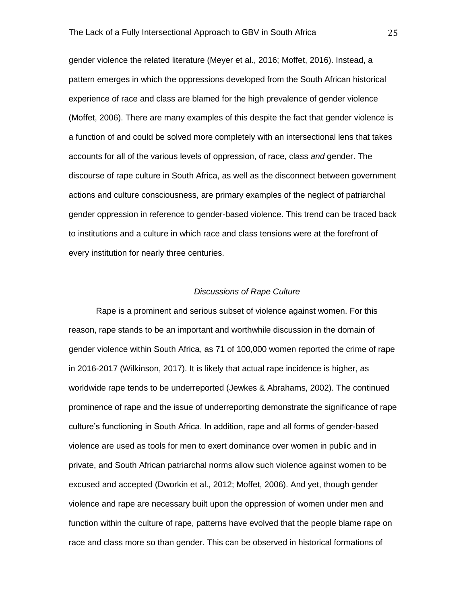gender violence the related literature (Meyer et al., 2016; Moffet, 2016). Instead, a pattern emerges in which the oppressions developed from the South African historical experience of race and class are blamed for the high prevalence of gender violence (Moffet, 2006). There are many examples of this despite the fact that gender violence is a function of and could be solved more completely with an intersectional lens that takes accounts for all of the various levels of oppression, of race, class *and* gender. The discourse of rape culture in South Africa, as well as the disconnect between government actions and culture consciousness, are primary examples of the neglect of patriarchal gender oppression in reference to gender-based violence. This trend can be traced back to institutions and a culture in which race and class tensions were at the forefront of every institution for nearly three centuries.

#### *Discussions of Rape Culture*

Rape is a prominent and serious subset of violence against women. For this reason, rape stands to be an important and worthwhile discussion in the domain of gender violence within South Africa, as 71 of 100,000 women reported the crime of rape in 2016-2017 (Wilkinson, 2017). It is likely that actual rape incidence is higher, as worldwide rape tends to be underreported (Jewkes & Abrahams, 2002). The continued prominence of rape and the issue of underreporting demonstrate the significance of rape culture's functioning in South Africa. In addition, rape and all forms of gender-based violence are used as tools for men to exert dominance over women in public and in private, and South African patriarchal norms allow such violence against women to be excused and accepted (Dworkin et al., 2012; Moffet, 2006). And yet, though gender violence and rape are necessary built upon the oppression of women under men and function within the culture of rape, patterns have evolved that the people blame rape on race and class more so than gender. This can be observed in historical formations of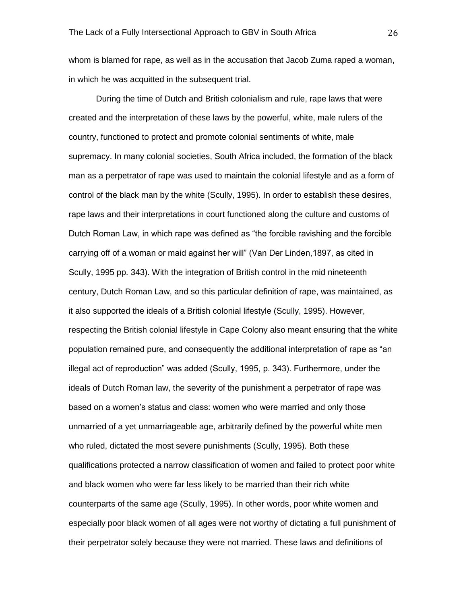whom is blamed for rape, as well as in the accusation that Jacob Zuma raped a woman, in which he was acquitted in the subsequent trial.

During the time of Dutch and British colonialism and rule, rape laws that were created and the interpretation of these laws by the powerful, white, male rulers of the country, functioned to protect and promote colonial sentiments of white, male supremacy. In many colonial societies, South Africa included, the formation of the black man as a perpetrator of rape was used to maintain the colonial lifestyle and as a form of control of the black man by the white (Scully, 1995). In order to establish these desires, rape laws and their interpretations in court functioned along the culture and customs of Dutch Roman Law, in which rape was defined as "the forcible ravishing and the forcible carrying off of a woman or maid against her will" (Van Der Linden,1897, as cited in Scully, 1995 pp. 343). With the integration of British control in the mid nineteenth century, Dutch Roman Law, and so this particular definition of rape, was maintained, as it also supported the ideals of a British colonial lifestyle (Scully, 1995). However, respecting the British colonial lifestyle in Cape Colony also meant ensuring that the white population remained pure, and consequently the additional interpretation of rape as "an illegal act of reproduction" was added (Scully, 1995, p. 343). Furthermore, under the ideals of Dutch Roman law, the severity of the punishment a perpetrator of rape was based on a women's status and class: women who were married and only those unmarried of a yet unmarriageable age, arbitrarily defined by the powerful white men who ruled, dictated the most severe punishments (Scully, 1995). Both these qualifications protected a narrow classification of women and failed to protect poor white and black women who were far less likely to be married than their rich white counterparts of the same age (Scully, 1995). In other words, poor white women and especially poor black women of all ages were not worthy of dictating a full punishment of their perpetrator solely because they were not married. These laws and definitions of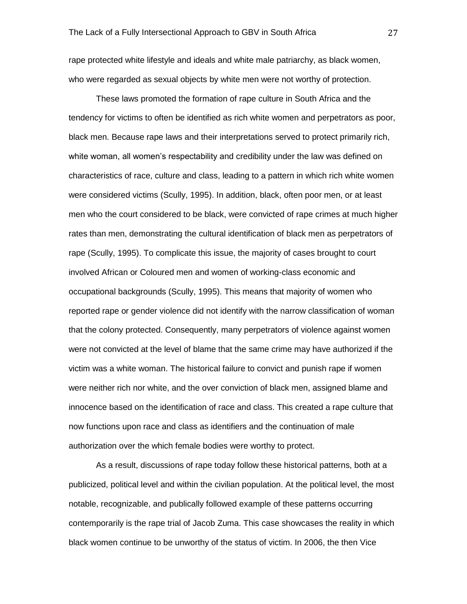rape protected white lifestyle and ideals and white male patriarchy, as black women, who were regarded as sexual objects by white men were not worthy of protection.

These laws promoted the formation of rape culture in South Africa and the tendency for victims to often be identified as rich white women and perpetrators as poor, black men. Because rape laws and their interpretations served to protect primarily rich, white woman, all women's respectability and credibility under the law was defined on characteristics of race, culture and class, leading to a pattern in which rich white women were considered victims (Scully, 1995). In addition, black, often poor men, or at least men who the court considered to be black, were convicted of rape crimes at much higher rates than men, demonstrating the cultural identification of black men as perpetrators of rape (Scully, 1995). To complicate this issue, the majority of cases brought to court involved African or Coloured men and women of working-class economic and occupational backgrounds (Scully, 1995). This means that majority of women who reported rape or gender violence did not identify with the narrow classification of woman that the colony protected. Consequently, many perpetrators of violence against women were not convicted at the level of blame that the same crime may have authorized if the victim was a white woman. The historical failure to convict and punish rape if women were neither rich nor white, and the over conviction of black men, assigned blame and innocence based on the identification of race and class. This created a rape culture that now functions upon race and class as identifiers and the continuation of male authorization over the which female bodies were worthy to protect.

As a result, discussions of rape today follow these historical patterns, both at a publicized, political level and within the civilian population. At the political level, the most notable, recognizable, and publically followed example of these patterns occurring contemporarily is the rape trial of Jacob Zuma. This case showcases the reality in which black women continue to be unworthy of the status of victim. In 2006, the then Vice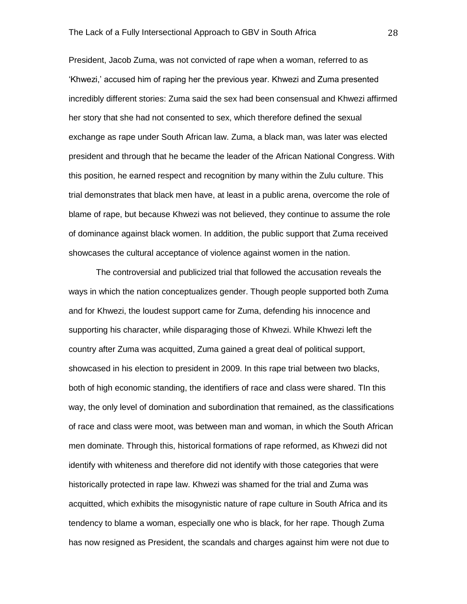President, Jacob Zuma, was not convicted of rape when a woman, referred to as 'Khwezi,' accused him of raping her the previous year. Khwezi and Zuma presented incredibly different stories: Zuma said the sex had been consensual and Khwezi affirmed her story that she had not consented to sex, which therefore defined the sexual exchange as rape under South African law. Zuma, a black man, was later was elected president and through that he became the leader of the African National Congress. With this position, he earned respect and recognition by many within the Zulu culture. This trial demonstrates that black men have, at least in a public arena, overcome the role of blame of rape, but because Khwezi was not believed, they continue to assume the role of dominance against black women. In addition, the public support that Zuma received showcases the cultural acceptance of violence against women in the nation.

The controversial and publicized trial that followed the accusation reveals the ways in which the nation conceptualizes gender. Though people supported both Zuma and for Khwezi, the loudest support came for Zuma, defending his innocence and supporting his character, while disparaging those of Khwezi. While Khwezi left the country after Zuma was acquitted, Zuma gained a great deal of political support, showcased in his election to president in 2009. In this rape trial between two blacks, both of high economic standing, the identifiers of race and class were shared. TIn this way, the only level of domination and subordination that remained, as the classifications of race and class were moot, was between man and woman, in which the South African men dominate. Through this, historical formations of rape reformed, as Khwezi did not identify with whiteness and therefore did not identify with those categories that were historically protected in rape law. Khwezi was shamed for the trial and Zuma was acquitted, which exhibits the misogynistic nature of rape culture in South Africa and its tendency to blame a woman, especially one who is black, for her rape. Though Zuma has now resigned as President, the scandals and charges against him were not due to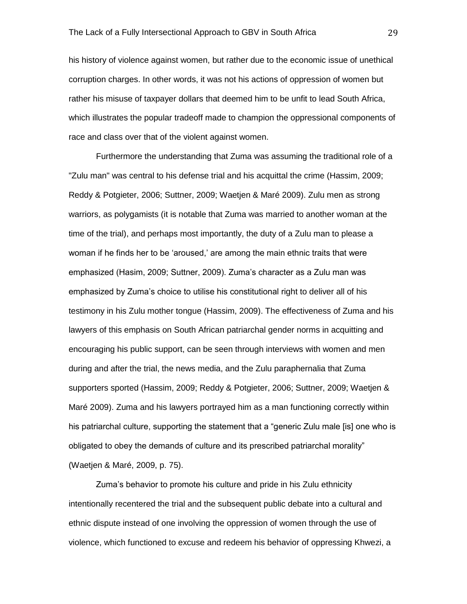his history of violence against women, but rather due to the economic issue of unethical corruption charges. In other words, it was not his actions of oppression of women but rather his misuse of taxpayer dollars that deemed him to be unfit to lead South Africa, which illustrates the popular tradeoff made to champion the oppressional components of race and class over that of the violent against women.

Furthermore the understanding that Zuma was assuming the traditional role of a "Zulu man" was central to his defense trial and his acquittal the crime (Hassim, 2009; Reddy & Potgieter, 2006; Suttner, 2009; Waetjen & Maré 2009). Zulu men as strong warriors, as polygamists (it is notable that Zuma was married to another woman at the time of the trial), and perhaps most importantly, the duty of a Zulu man to please a woman if he finds her to be 'aroused,' are among the main ethnic traits that were emphasized (Hasim, 2009; Suttner, 2009). Zuma's character as a Zulu man was emphasized by Zuma's choice to utilise his constitutional right to deliver all of his testimony in his Zulu mother tongue (Hassim, 2009). The effectiveness of Zuma and his lawyers of this emphasis on South African patriarchal gender norms in acquitting and encouraging his public support, can be seen through interviews with women and men during and after the trial, the news media, and the Zulu paraphernalia that Zuma supporters sported (Hassim, 2009; Reddy & Potgieter, 2006; Suttner, 2009; Waetjen & Maré 2009). Zuma and his lawyers portrayed him as a man functioning correctly within his patriarchal culture, supporting the statement that a "generic Zulu male [is] one who is obligated to obey the demands of culture and its prescribed patriarchal morality" (Waetjen & Maré, 2009, p. 75).

Zuma's behavior to promote his culture and pride in his Zulu ethnicity intentionally recentered the trial and the subsequent public debate into a cultural and ethnic dispute instead of one involving the oppression of women through the use of violence, which functioned to excuse and redeem his behavior of oppressing Khwezi, a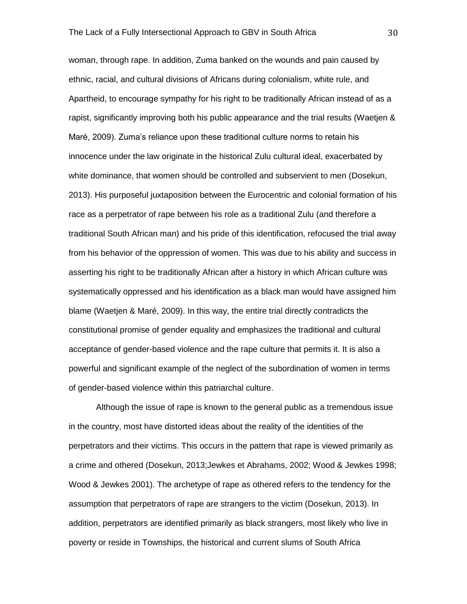woman, through rape. In addition, Zuma banked on the wounds and pain caused by ethnic, racial, and cultural divisions of Africans during colonialism, white rule, and Apartheid, to encourage sympathy for his right to be traditionally African instead of as a rapist, significantly improving both his public appearance and the trial results (Waetjen & Maré, 2009). Zuma's reliance upon these traditional culture norms to retain his innocence under the law originate in the historical Zulu cultural ideal, exacerbated by white dominance, that women should be controlled and subservient to men (Dosekun, 2013). His purposeful juxtaposition between the Eurocentric and colonial formation of his race as a perpetrator of rape between his role as a traditional Zulu (and therefore a traditional South African man) and his pride of this identification, refocused the trial away from his behavior of the oppression of women. This was due to his ability and success in asserting his right to be traditionally African after a history in which African culture was systematically oppressed and his identification as a black man would have assigned him blame (Waetjen & Maré, 2009). In this way, the entire trial directly contradicts the constitutional promise of gender equality and emphasizes the traditional and cultural acceptance of gender-based violence and the rape culture that permits it. It is also a powerful and significant example of the neglect of the subordination of women in terms of gender-based violence within this patriarchal culture.

Although the issue of rape is known to the general public as a tremendous issue in the country, most have distorted ideas about the reality of the identities of the perpetrators and their victims. This occurs in the pattern that rape is viewed primarily as a crime and othered (Dosekun, 2013;Jewkes et Abrahams, 2002; Wood & Jewkes 1998; Wood & Jewkes 2001). The archetype of rape as othered refers to the tendency for the assumption that perpetrators of rape are strangers to the victim (Dosekun, 2013). In addition, perpetrators are identified primarily as black strangers, most likely who live in poverty or reside in Townships, the historical and current slums of South Africa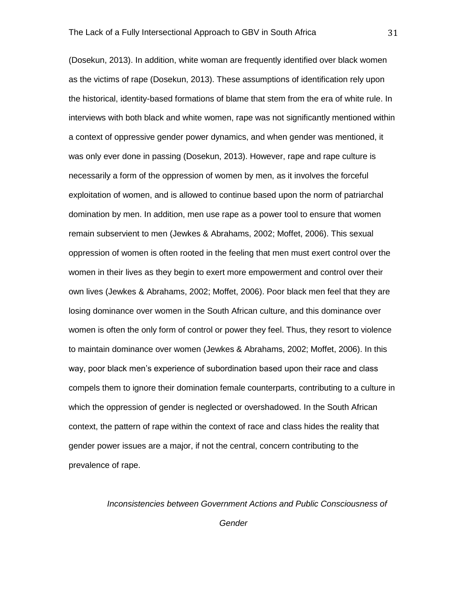(Dosekun, 2013). In addition, white woman are frequently identified over black women as the victims of rape (Dosekun, 2013). These assumptions of identification rely upon the historical, identity-based formations of blame that stem from the era of white rule. In interviews with both black and white women, rape was not significantly mentioned within a context of oppressive gender power dynamics, and when gender was mentioned, it was only ever done in passing (Dosekun, 2013). However, rape and rape culture is necessarily a form of the oppression of women by men, as it involves the forceful exploitation of women, and is allowed to continue based upon the norm of patriarchal domination by men. In addition, men use rape as a power tool to ensure that women remain subservient to men (Jewkes & Abrahams, 2002; Moffet, 2006). This sexual oppression of women is often rooted in the feeling that men must exert control over the women in their lives as they begin to exert more empowerment and control over their own lives (Jewkes & Abrahams, 2002; Moffet, 2006). Poor black men feel that they are losing dominance over women in the South African culture, and this dominance over women is often the only form of control or power they feel. Thus, they resort to violence to maintain dominance over women (Jewkes & Abrahams, 2002; Moffet, 2006). In this way, poor black men's experience of subordination based upon their race and class compels them to ignore their domination female counterparts, contributing to a culture in which the oppression of gender is neglected or overshadowed. In the South African context, the pattern of rape within the context of race and class hides the reality that gender power issues are a major, if not the central, concern contributing to the prevalence of rape.

*Inconsistencies between Government Actions and Public Consciousness of* 

*Gender*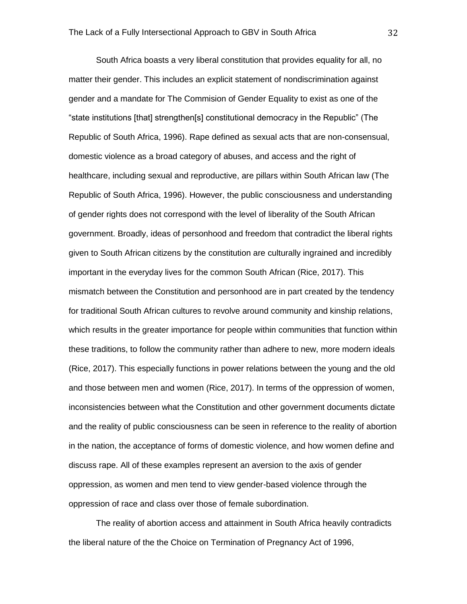South Africa boasts a very liberal constitution that provides equality for all, no matter their gender. This includes an explicit statement of nondiscrimination against gender and a mandate for The Commision of Gender Equality to exist as one of the "state institutions [that] strengthen[s] constitutional democracy in the Republic" (The Republic of South Africa, 1996). Rape defined as sexual acts that are non-consensual, domestic violence as a broad category of abuses, and access and the right of healthcare, including sexual and reproductive, are pillars within South African law (The Republic of South Africa, 1996). However, the public consciousness and understanding of gender rights does not correspond with the level of liberality of the South African government. Broadly, ideas of personhood and freedom that contradict the liberal rights given to South African citizens by the constitution are culturally ingrained and incredibly important in the everyday lives for the common South African (Rice, 2017). This mismatch between the Constitution and personhood are in part created by the tendency for traditional South African cultures to revolve around community and kinship relations, which results in the greater importance for people within communities that function within these traditions, to follow the community rather than adhere to new, more modern ideals (Rice, 2017). This especially functions in power relations between the young and the old and those between men and women (Rice, 2017). In terms of the oppression of women, inconsistencies between what the Constitution and other government documents dictate and the reality of public consciousness can be seen in reference to the reality of abortion in the nation, the acceptance of forms of domestic violence, and how women define and discuss rape. All of these examples represent an aversion to the axis of gender oppression, as women and men tend to view gender-based violence through the oppression of race and class over those of female subordination.

The reality of abortion access and attainment in South Africa heavily contradicts the liberal nature of the the Choice on Termination of Pregnancy Act of 1996,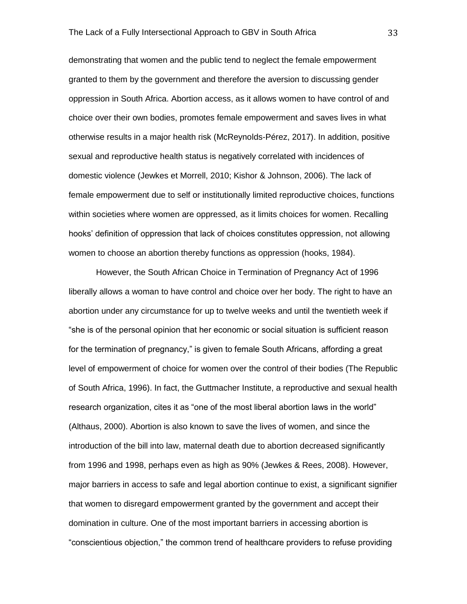demonstrating that women and the public tend to neglect the female empowerment granted to them by the government and therefore the aversion to discussing gender oppression in South Africa. Abortion access, as it allows women to have control of and choice over their own bodies, promotes female empowerment and saves lives in what otherwise results in a major health risk (McReynolds-Pérez, 2017). In addition, positive sexual and reproductive health status is negatively correlated with incidences of domestic violence (Jewkes et Morrell, 2010; Kishor & Johnson, 2006). The lack of female empowerment due to self or institutionally limited reproductive choices, functions within societies where women are oppressed, as it limits choices for women. Recalling hooks' definition of oppression that lack of choices constitutes oppression, not allowing women to choose an abortion thereby functions as oppression (hooks, 1984).

However, the South African Choice in Termination of Pregnancy Act of 1996 liberally allows a woman to have control and choice over her body. The right to have an abortion under any circumstance for up to twelve weeks and until the twentieth week if "she is of the personal opinion that her economic or social situation is sufficient reason for the termination of pregnancy," is given to female South Africans, affording a great level of empowerment of choice for women over the control of their bodies (The Republic of South Africa, 1996). In fact, the Guttmacher Institute, a reproductive and sexual health research organization, cites it as "one of the most liberal abortion laws in the world" (Althaus, 2000). Abortion is also known to save the lives of women, and since the introduction of the bill into law, maternal death due to abortion decreased significantly from 1996 and 1998, perhaps even as high as 90% (Jewkes & Rees, 2008). However, major barriers in access to safe and legal abortion continue to exist, a significant signifier that women to disregard empowerment granted by the government and accept their domination in culture. One of the most important barriers in accessing abortion is "conscientious objection," the common trend of healthcare providers to refuse providing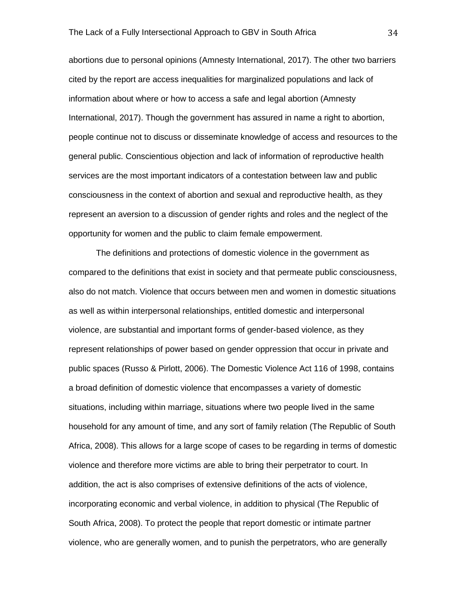abortions due to personal opinions (Amnesty International, 2017). The other two barriers cited by the report are access inequalities for marginalized populations and lack of information about where or how to access a safe and legal abortion (Amnesty International, 2017). Though the government has assured in name a right to abortion, people continue not to discuss or disseminate knowledge of access and resources to the general public. Conscientious objection and lack of information of reproductive health services are the most important indicators of a contestation between law and public consciousness in the context of abortion and sexual and reproductive health, as they represent an aversion to a discussion of gender rights and roles and the neglect of the opportunity for women and the public to claim female empowerment.

The definitions and protections of domestic violence in the government as compared to the definitions that exist in society and that permeate public consciousness, also do not match. Violence that occurs between men and women in domestic situations as well as within interpersonal relationships, entitled domestic and interpersonal violence, are substantial and important forms of gender-based violence, as they represent relationships of power based on gender oppression that occur in private and public spaces (Russo & Pirlott, 2006). The Domestic Violence Act 116 of 1998, contains a broad definition of domestic violence that encompasses a variety of domestic situations, including within marriage, situations where two people lived in the same household for any amount of time, and any sort of family relation (The Republic of South Africa, 2008). This allows for a large scope of cases to be regarding in terms of domestic violence and therefore more victims are able to bring their perpetrator to court. In addition, the act is also comprises of extensive definitions of the acts of violence, incorporating economic and verbal violence, in addition to physical (The Republic of South Africa, 2008). To protect the people that report domestic or intimate partner violence, who are generally women, and to punish the perpetrators, who are generally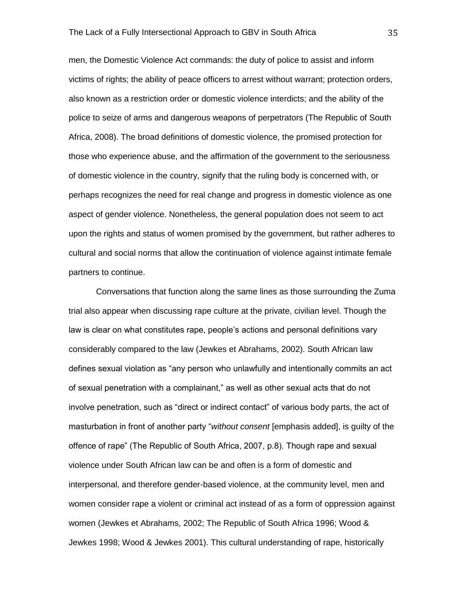men, the Domestic Violence Act commands: the duty of police to assist and inform victims of rights; the ability of peace officers to arrest without warrant; protection orders, also known as a restriction order or domestic violence interdicts; and the ability of the police to seize of arms and dangerous weapons of perpetrators (The Republic of South Africa, 2008). The broad definitions of domestic violence, the promised protection for those who experience abuse, and the affirmation of the government to the seriousness of domestic violence in the country, signify that the ruling body is concerned with, or perhaps recognizes the need for real change and progress in domestic violence as one aspect of gender violence. Nonetheless, the general population does not seem to act upon the rights and status of women promised by the government, but rather adheres to cultural and social norms that allow the continuation of violence against intimate female partners to continue.

Conversations that function along the same lines as those surrounding the Zuma trial also appear when discussing rape culture at the private, civilian level. Though the law is clear on what constitutes rape, people's actions and personal definitions vary considerably compared to the law (Jewkes et Abrahams, 2002). South African law defines sexual violation as "any person who unlawfully and intentionally commits an act of sexual penetration with a complainant," as well as other sexual acts that do not involve penetration, such as "direct or indirect contact" of various body parts, the act of masturbation in front of another party "*without consent* [emphasis added], is guilty of the offence of rape" (The Republic of South Africa, 2007, p.8). Though rape and sexual violence under South African law can be and often is a form of domestic and interpersonal, and therefore gender-based violence, at the community level, men and women consider rape a violent or criminal act instead of as a form of oppression against women (Jewkes et Abrahams, 2002; The Republic of South Africa 1996; Wood & Jewkes 1998; Wood & Jewkes 2001). This cultural understanding of rape, historically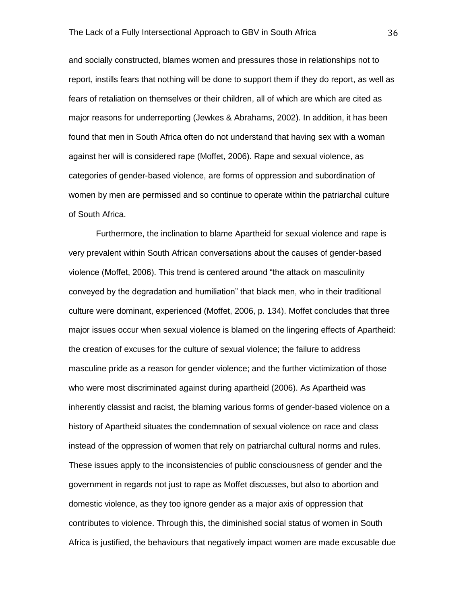and socially constructed, blames women and pressures those in relationships not to report, instills fears that nothing will be done to support them if they do report, as well as fears of retaliation on themselves or their children, all of which are which are cited as major reasons for underreporting (Jewkes & Abrahams, 2002). In addition, it has been found that men in South Africa often do not understand that having sex with a woman against her will is considered rape (Moffet, 2006). Rape and sexual violence, as categories of gender-based violence, are forms of oppression and subordination of women by men are permissed and so continue to operate within the patriarchal culture of South Africa.

Furthermore, the inclination to blame Apartheid for sexual violence and rape is very prevalent within South African conversations about the causes of gender-based violence (Moffet, 2006). This trend is centered around "the attack on masculinity conveyed by the degradation and humiliation" that black men, who in their traditional culture were dominant, experienced (Moffet, 2006, p. 134). Moffet concludes that three major issues occur when sexual violence is blamed on the lingering effects of Apartheid: the creation of excuses for the culture of sexual violence; the failure to address masculine pride as a reason for gender violence; and the further victimization of those who were most discriminated against during apartheid (2006). As Apartheid was inherently classist and racist, the blaming various forms of gender-based violence on a history of Apartheid situates the condemnation of sexual violence on race and class instead of the oppression of women that rely on patriarchal cultural norms and rules. These issues apply to the inconsistencies of public consciousness of gender and the government in regards not just to rape as Moffet discusses, but also to abortion and domestic violence, as they too ignore gender as a major axis of oppression that contributes to violence. Through this, the diminished social status of women in South Africa is justified, the behaviours that negatively impact women are made excusable due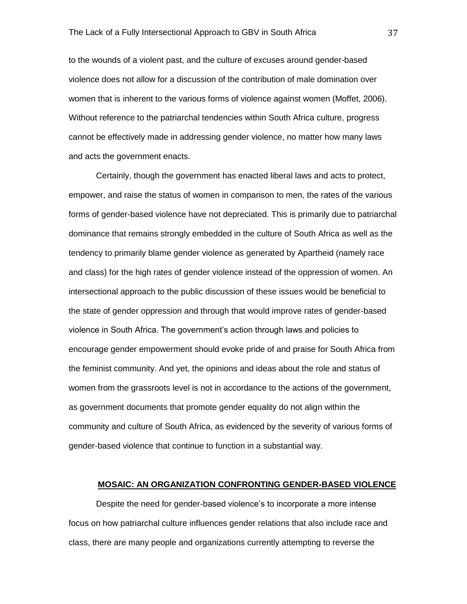to the wounds of a violent past, and the culture of excuses around gender-based violence does not allow for a discussion of the contribution of male domination over women that is inherent to the various forms of violence against women (Moffet, 2006). Without reference to the patriarchal tendencies within South Africa culture, progress cannot be effectively made in addressing gender violence, no matter how many laws and acts the government enacts.

Certainly, though the government has enacted liberal laws and acts to protect, empower, and raise the status of women in comparison to men, the rates of the various forms of gender-based violence have not depreciated. This is primarily due to patriarchal dominance that remains strongly embedded in the culture of South Africa as well as the tendency to primarily blame gender violence as generated by Apartheid (namely race and class) for the high rates of gender violence instead of the oppression of women. An intersectional approach to the public discussion of these issues would be beneficial to the state of gender oppression and through that would improve rates of gender-based violence in South Africa. The government's action through laws and policies to encourage gender empowerment should evoke pride of and praise for South Africa from the feminist community. And yet, the opinions and ideas about the role and status of women from the grassroots level is not in accordance to the actions of the government, as government documents that promote gender equality do not align within the community and culture of South Africa, as evidenced by the severity of various forms of gender-based violence that continue to function in a substantial way.

# **MOSAIC: AN ORGANIZATION CONFRONTING GENDER-BASED VIOLENCE**

Despite the need for gender-based violence's to incorporate a more intense focus on how patriarchal culture influences gender relations that also include race and class, there are many people and organizations currently attempting to reverse the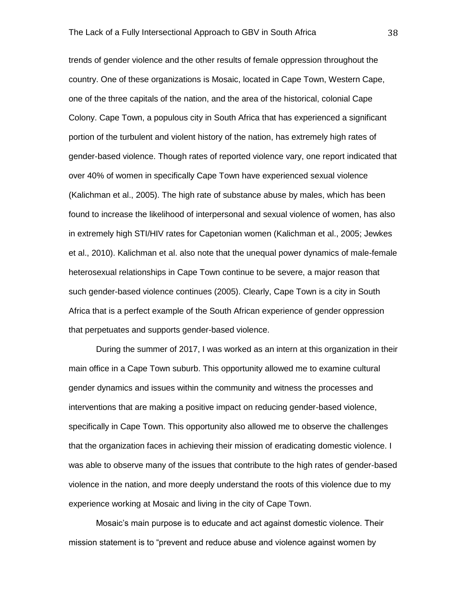trends of gender violence and the other results of female oppression throughout the country. One of these organizations is Mosaic, located in Cape Town, Western Cape, one of the three capitals of the nation, and the area of the historical, colonial Cape Colony. Cape Town, a populous city in South Africa that has experienced a significant portion of the turbulent and violent history of the nation, has extremely high rates of gender-based violence. Though rates of reported violence vary, one report indicated that over 40% of women in specifically Cape Town have experienced sexual violence (Kalichman et al., 2005). The high rate of substance abuse by males, which has been found to increase the likelihood of interpersonal and sexual violence of women, has also in extremely high STI/HIV rates for Capetonian women (Kalichman et al., 2005; Jewkes et al., 2010). Kalichman et al. also note that the unequal power dynamics of male-female heterosexual relationships in Cape Town continue to be severe, a major reason that such gender-based violence continues (2005). Clearly, Cape Town is a city in South Africa that is a perfect example of the South African experience of gender oppression that perpetuates and supports gender-based violence.

During the summer of 2017, I was worked as an intern at this organization in their main office in a Cape Town suburb. This opportunity allowed me to examine cultural gender dynamics and issues within the community and witness the processes and interventions that are making a positive impact on reducing gender-based violence, specifically in Cape Town. This opportunity also allowed me to observe the challenges that the organization faces in achieving their mission of eradicating domestic violence. I was able to observe many of the issues that contribute to the high rates of gender-based violence in the nation, and more deeply understand the roots of this violence due to my experience working at Mosaic and living in the city of Cape Town.

Mosaic's main purpose is to educate and act against domestic violence. Their mission statement is to "prevent and reduce abuse and violence against women by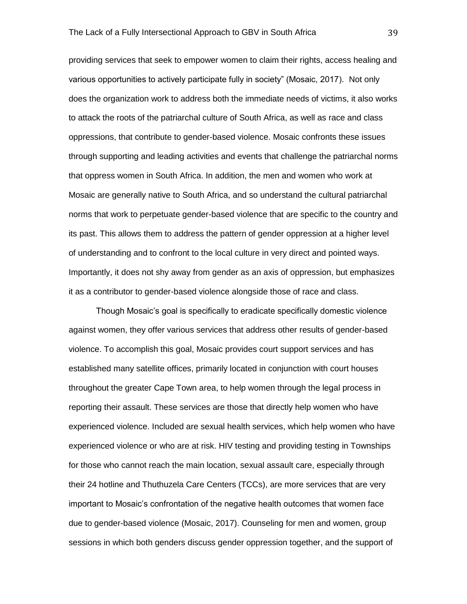providing services that seek to empower women to claim their rights, access healing and various opportunities to actively participate fully in society" (Mosaic, 2017). Not only does the organization work to address both the immediate needs of victims, it also works to attack the roots of the patriarchal culture of South Africa, as well as race and class oppressions, that contribute to gender-based violence. Mosaic confronts these issues through supporting and leading activities and events that challenge the patriarchal norms that oppress women in South Africa. In addition, the men and women who work at Mosaic are generally native to South Africa, and so understand the cultural patriarchal norms that work to perpetuate gender-based violence that are specific to the country and its past. This allows them to address the pattern of gender oppression at a higher level of understanding and to confront to the local culture in very direct and pointed ways. Importantly, it does not shy away from gender as an axis of oppression, but emphasizes it as a contributor to gender-based violence alongside those of race and class.

Though Mosaic's goal is specifically to eradicate specifically domestic violence against women, they offer various services that address other results of gender-based violence. To accomplish this goal, Mosaic provides court support services and has established many satellite offices, primarily located in conjunction with court houses throughout the greater Cape Town area, to help women through the legal process in reporting their assault. These services are those that directly help women who have experienced violence. Included are sexual health services, which help women who have experienced violence or who are at risk. HIV testing and providing testing in Townships for those who cannot reach the main location, sexual assault care, especially through their 24 hotline and Thuthuzela Care Centers (TCCs), are more services that are very important to Mosaic's confrontation of the negative health outcomes that women face due to gender-based violence (Mosaic, 2017). Counseling for men and women, group sessions in which both genders discuss gender oppression together, and the support of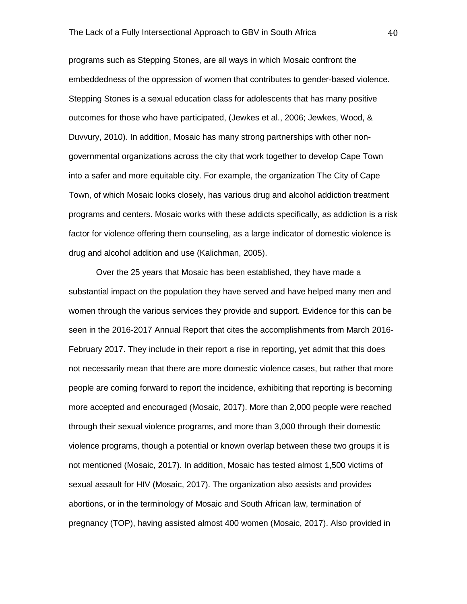programs such as Stepping Stones, are all ways in which Mosaic confront the embeddedness of the oppression of women that contributes to gender-based violence. Stepping Stones is a sexual education class for adolescents that has many positive outcomes for those who have participated, (Jewkes et al., 2006; Jewkes, Wood, & Duvvury, 2010). In addition, Mosaic has many strong partnerships with other nongovernmental organizations across the city that work together to develop Cape Town into a safer and more equitable city. For example, the organization The City of Cape Town, of which Mosaic looks closely, has various drug and alcohol addiction treatment programs and centers. Mosaic works with these addicts specifically, as addiction is a risk factor for violence offering them counseling, as a large indicator of domestic violence is drug and alcohol addition and use (Kalichman, 2005).

Over the 25 years that Mosaic has been established, they have made a substantial impact on the population they have served and have helped many men and women through the various services they provide and support. Evidence for this can be seen in the 2016-2017 Annual Report that cites the accomplishments from March 2016- February 2017. They include in their report a rise in reporting, yet admit that this does not necessarily mean that there are more domestic violence cases, but rather that more people are coming forward to report the incidence, exhibiting that reporting is becoming more accepted and encouraged (Mosaic, 2017). More than 2,000 people were reached through their sexual violence programs, and more than 3,000 through their domestic violence programs, though a potential or known overlap between these two groups it is not mentioned (Mosaic, 2017). In addition, Mosaic has tested almost 1,500 victims of sexual assault for HIV (Mosaic, 2017). The organization also assists and provides abortions, or in the terminology of Mosaic and South African law, termination of pregnancy (TOP), having assisted almost 400 women (Mosaic, 2017). Also provided in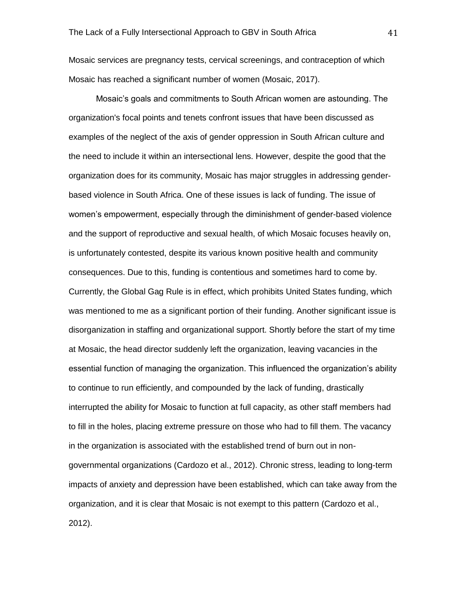Mosaic services are pregnancy tests, cervical screenings, and contraception of which Mosaic has reached a significant number of women (Mosaic, 2017).

Mosaic's goals and commitments to South African women are astounding. The organization's focal points and tenets confront issues that have been discussed as examples of the neglect of the axis of gender oppression in South African culture and the need to include it within an intersectional lens. However, despite the good that the organization does for its community, Mosaic has major struggles in addressing genderbased violence in South Africa. One of these issues is lack of funding. The issue of women's empowerment, especially through the diminishment of gender-based violence and the support of reproductive and sexual health, of which Mosaic focuses heavily on, is unfortunately contested, despite its various known positive health and community consequences. Due to this, funding is contentious and sometimes hard to come by. Currently, the Global Gag Rule is in effect, which prohibits United States funding, which was mentioned to me as a significant portion of their funding. Another significant issue is disorganization in staffing and organizational support. Shortly before the start of my time at Mosaic, the head director suddenly left the organization, leaving vacancies in the essential function of managing the organization. This influenced the organization's ability to continue to run efficiently, and compounded by the lack of funding, drastically interrupted the ability for Mosaic to function at full capacity, as other staff members had to fill in the holes, placing extreme pressure on those who had to fill them. The vacancy in the organization is associated with the established trend of burn out in nongovernmental organizations (Cardozo et al., 2012). Chronic stress, leading to long-term impacts of anxiety and depression have been established, which can take away from the organization, and it is clear that Mosaic is not exempt to this pattern (Cardozo et al., 2012).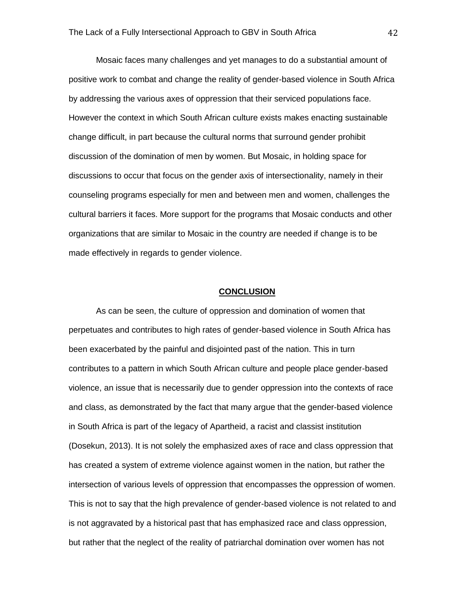Mosaic faces many challenges and yet manages to do a substantial amount of positive work to combat and change the reality of gender-based violence in South Africa by addressing the various axes of oppression that their serviced populations face. However the context in which South African culture exists makes enacting sustainable change difficult, in part because the cultural norms that surround gender prohibit discussion of the domination of men by women. But Mosaic, in holding space for discussions to occur that focus on the gender axis of intersectionality, namely in their counseling programs especially for men and between men and women, challenges the cultural barriers it faces. More support for the programs that Mosaic conducts and other organizations that are similar to Mosaic in the country are needed if change is to be made effectively in regards to gender violence.

#### **CONCLUSION**

As can be seen, the culture of oppression and domination of women that perpetuates and contributes to high rates of gender-based violence in South Africa has been exacerbated by the painful and disjointed past of the nation. This in turn contributes to a pattern in which South African culture and people place gender-based violence, an issue that is necessarily due to gender oppression into the contexts of race and class, as demonstrated by the fact that many argue that the gender-based violence in South Africa is part of the legacy of Apartheid, a racist and classist institution (Dosekun, 2013). It is not solely the emphasized axes of race and class oppression that has created a system of extreme violence against women in the nation, but rather the intersection of various levels of oppression that encompasses the oppression of women. This is not to say that the high prevalence of gender-based violence is not related to and is not aggravated by a historical past that has emphasized race and class oppression, but rather that the neglect of the reality of patriarchal domination over women has not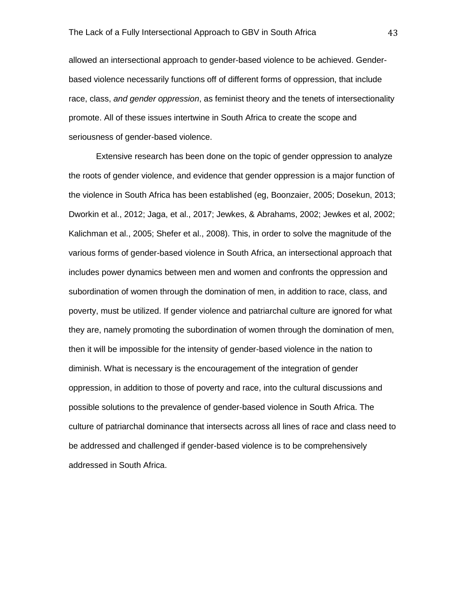allowed an intersectional approach to gender-based violence to be achieved. Genderbased violence necessarily functions off of different forms of oppression, that include race, class, *and gender oppression*, as feminist theory and the tenets of intersectionality promote. All of these issues intertwine in South Africa to create the scope and seriousness of gender-based violence.

Extensive research has been done on the topic of gender oppression to analyze the roots of gender violence, and evidence that gender oppression is a major function of the violence in South Africa has been established (eg, Boonzaier, 2005; Dosekun, 2013; Dworkin et al., 2012; Jaga, et al., 2017; Jewkes, & Abrahams, 2002; Jewkes et al, 2002; Kalichman et al., 2005; Shefer et al., 2008). This, in order to solve the magnitude of the various forms of gender-based violence in South Africa, an intersectional approach that includes power dynamics between men and women and confronts the oppression and subordination of women through the domination of men, in addition to race, class, and poverty, must be utilized. If gender violence and patriarchal culture are ignored for what they are, namely promoting the subordination of women through the domination of men, then it will be impossible for the intensity of gender-based violence in the nation to diminish. What is necessary is the encouragement of the integration of gender oppression, in addition to those of poverty and race, into the cultural discussions and possible solutions to the prevalence of gender-based violence in South Africa. The culture of patriarchal dominance that intersects across all lines of race and class need to be addressed and challenged if gender-based violence is to be comprehensively addressed in South Africa.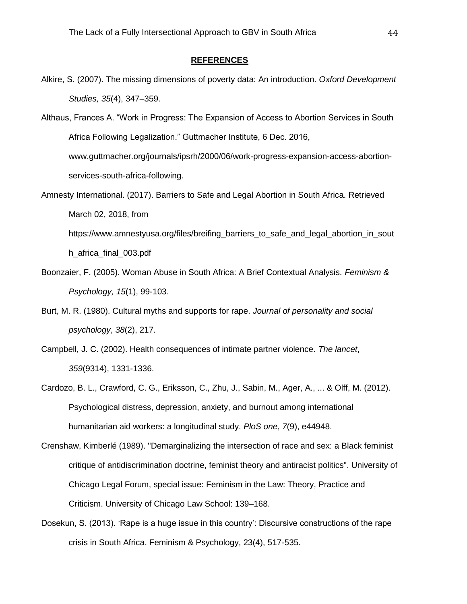#### **REFERENCES**

- Alkire, S. (2007). The missing dimensions of poverty data: An introduction. *Oxford Development Studies, 35*(4), 347–359.
- Althaus, Frances A. "Work in Progress: The Expansion of Access to Abortion Services in South Africa Following Legalization." Guttmacher Institute, 6 Dec. 2016, www.guttmacher.org/journals/ipsrh/2000/06/work-progress-expansion-access-abortionservices-south-africa-following.
- Amnesty International. (2017). Barriers to Safe and Legal Abortion in South Africa. Retrieved March 02, 2018, from https://www.amnestyusa.org/files/breifing\_barriers\_to\_safe\_and\_legal\_abortion\_in\_sout h\_africa\_final\_003.pdf
- Boonzaier, F. (2005). Woman Abuse in South Africa: A Brief Contextual Analysis. *Feminism & Psychology, 15*(1), 99-103.
- Burt, M. R. (1980). Cultural myths and supports for rape. *Journal of personality and social psychology*, *38*(2), 217.
- Campbell, J. C. (2002). Health consequences of intimate partner violence. *The lancet*, *359*(9314), 1331-1336.
- Cardozo, B. L., Crawford, C. G., Eriksson, C., Zhu, J., Sabin, M., Ager, A., ... & Olff, M. (2012). Psychological distress, depression, anxiety, and burnout among international humanitarian aid workers: a longitudinal study. *PloS one*, *7*(9), e44948.
- Crenshaw, Kimberlé (1989). "Demarginalizing the intersection of race and sex: a Black feminist critique of antidiscrimination doctrine, feminist theory and antiracist politics". University of Chicago Legal Forum, special issue: Feminism in the Law: Theory, Practice and Criticism. University of Chicago Law School: 139–168.
- Dosekun, S. (2013). 'Rape is a huge issue in this country': Discursive constructions of the rape crisis in South Africa. Feminism & Psychology, 23(4), 517-535.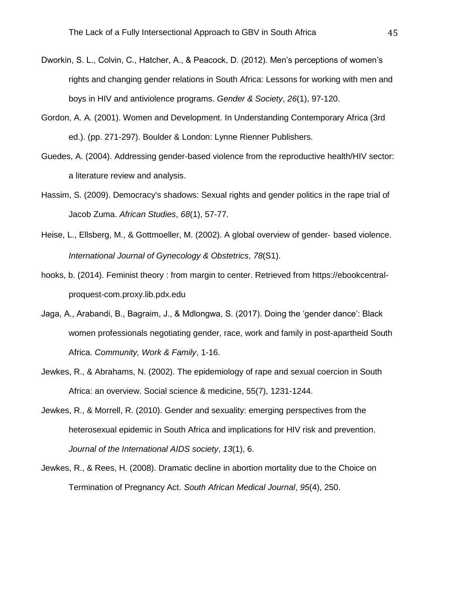- Dworkin, S. L., Colvin, C., Hatcher, A., & Peacock, D. (2012). Men's perceptions of women's rights and changing gender relations in South Africa: Lessons for working with men and boys in HIV and antiviolence programs. *Gender & Society*, *26*(1), 97-120.
- Gordon, A. A. (2001). Women and Development. In Understanding Contemporary Africa (3rd ed.). (pp. 271-297). Boulder & London: Lynne Rienner Publishers.
- Guedes, A. (2004). Addressing gender-based violence from the reproductive health/HIV sector: a literature review and analysis.
- Hassim, S. (2009). Democracy's shadows: Sexual rights and gender politics in the rape trial of Jacob Zuma. *African Studies*, *68*(1), 57-77.
- Heise, L., Ellsberg, M., & Gottmoeller, M. (2002). A global overview of gender‐ based violence. *International Journal of Gynecology & Obstetrics*, *78*(S1).
- hooks, b. (2014). Feminist theory : from margin to center. Retrieved from https://ebookcentralproquest-com.proxy.lib.pdx.edu
- Jaga, A., Arabandi, B., Bagraim, J., & Mdlongwa, S. (2017). Doing the 'gender dance': Black women professionals negotiating gender, race, work and family in post-apartheid South Africa. *Community, Work & Family*, 1-16.
- Jewkes, R., & Abrahams, N. (2002). The epidemiology of rape and sexual coercion in South Africa: an overview. Social science & medicine, 55(7), 1231-1244.
- Jewkes, R., & Morrell, R. (2010). Gender and sexuality: emerging perspectives from the heterosexual epidemic in South Africa and implications for HIV risk and prevention. *Journal of the International AIDS society*, *13*(1), 6.
- Jewkes, R., & Rees, H. (2008). Dramatic decline in abortion mortality due to the Choice on Termination of Pregnancy Act. *South African Medical Journal*, *95*(4), 250.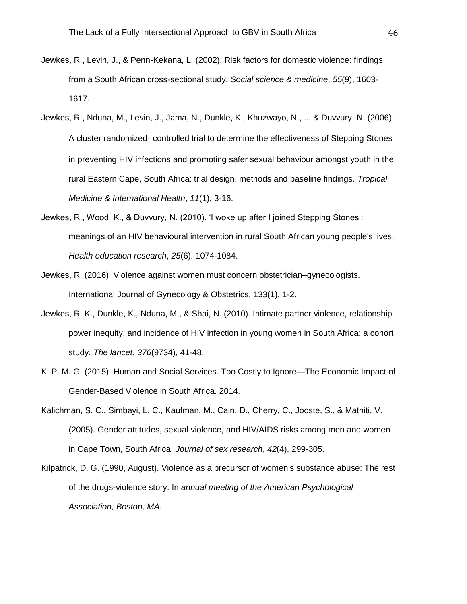- Jewkes, R., Levin, J., & Penn-Kekana, L. (2002). Risk factors for domestic violence: findings from a South African cross-sectional study. *Social science & medicine*, *55*(9), 1603- 1617.
- Jewkes, R., Nduna, M., Levin, J., Jama, N., Dunkle, K., Khuzwayo, N., ... & Duvvury, N. (2006). A cluster randomized‐ controlled trial to determine the effectiveness of Stepping Stones in preventing HIV infections and promoting safer sexual behaviour amongst youth in the rural Eastern Cape, South Africa: trial design, methods and baseline findings. *Tropical Medicine & International Health*, *11*(1), 3-16.
- Jewkes, R., Wood, K., & Duvvury, N. (2010). 'I woke up after I joined Stepping Stones': meanings of an HIV behavioural intervention in rural South African young people's lives. *Health education research*, *25*(6), 1074-1084.
- Jewkes, R. (2016). Violence against women must concern obstetrician–gynecologists. International Journal of Gynecology & Obstetrics, 133(1), 1-2.
- Jewkes, R. K., Dunkle, K., Nduna, M., & Shai, N. (2010). Intimate partner violence, relationship power inequity, and incidence of HIV infection in young women in South Africa: a cohort study. *The lancet*, *376*(9734), 41-48.
- K. P. M. G. (2015). Human and Social Services. Too Costly to Ignore—The Economic Impact of Gender-Based Violence in South Africa. 2014.
- Kalichman, S. C., Simbayi, L. C., Kaufman, M., Cain, D., Cherry, C., Jooste, S., & Mathiti, V. (2005). Gender attitudes, sexual violence, and HIV/AIDS risks among men and women in Cape Town, South Africa. *Journal of sex research*, *42*(4), 299-305.
- Kilpatrick, D. G. (1990, August). Violence as a precursor of women's substance abuse: The rest of the drugs-violence story. In *annual meeting of the American Psychological Association, Boston, MA*.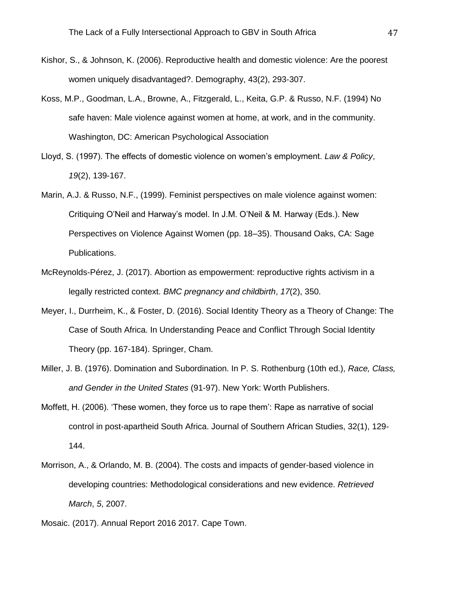- Kishor, S., & Johnson, K. (2006). Reproductive health and domestic violence: Are the poorest women uniquely disadvantaged?. Demography, 43(2), 293-307.
- Koss, M.P., Goodman, L.A., Browne, A., Fitzgerald, L., Keita, G.P. & Russo, N.F. (1994) No safe haven: Male violence against women at home, at work, and in the community. Washington, DC: American Psychological Association
- Lloyd, S. (1997). The effects of domestic violence on women's employment. *Law & Policy*, *19*(2), 139-167.
- Marin, A.J. & Russo, N.F., (1999). Feminist perspectives on male violence against women: Critiquing O'Neil and Harway's model. In J.M. O'Neil & M. Harway (Eds.). New Perspectives on Violence Against Women (pp. 18–35). Thousand Oaks, CA: Sage Publications.
- McReynolds-Pérez, J. (2017). Abortion as empowerment: reproductive rights activism in a legally restricted context. *BMC pregnancy and childbirth*, *17*(2), 350.
- Meyer, I., Durrheim, K., & Foster, D. (2016). Social Identity Theory as a Theory of Change: The Case of South Africa. In Understanding Peace and Conflict Through Social Identity Theory (pp. 167-184). Springer, Cham.
- Miller, J. B. (1976). Domination and Subordination. In P. S. Rothenburg (10th ed.), *Race, Class, and Gender in the United States* (91-97). New York: Worth Publishers.
- Moffett, H. (2006). 'These women, they force us to rape them': Rape as narrative of social control in post-apartheid South Africa. Journal of Southern African Studies, 32(1), 129- 144.
- Morrison, A., & Orlando, M. B. (2004). The costs and impacts of gender-based violence in developing countries: Methodological considerations and new evidence. *Retrieved March*, *5*, 2007.
- Mosaic. (2017). Annual Report 2016 2017. Cape Town.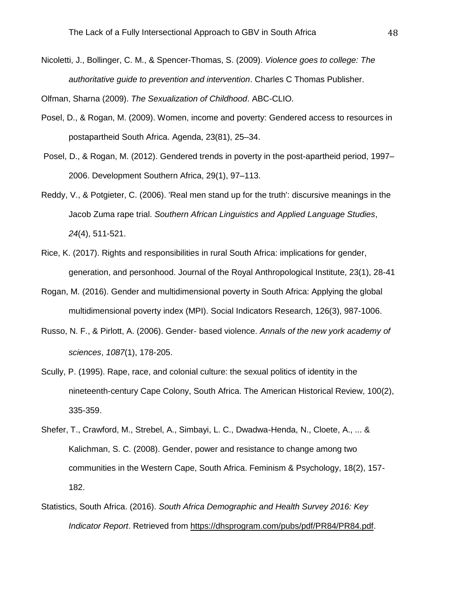Nicoletti, J., Bollinger, C. M., & Spencer-Thomas, S. (2009). *Violence goes to college: The authoritative guide to prevention and intervention*. Charles C Thomas Publisher.

Olfman, Sharna (2009). *The Sexualization of Childhood*. ABC-CLIO.

- Posel, D., & Rogan, M. (2009). Women, income and poverty: Gendered access to resources in postapartheid South Africa. Agenda, 23(81), 25–34.
- Posel, D., & Rogan, M. (2012). Gendered trends in poverty in the post-apartheid period, 1997– 2006. Development Southern Africa, 29(1), 97–113.
- Reddy, V., & Potgieter, C. (2006). 'Real men stand up for the truth': discursive meanings in the Jacob Zuma rape trial. *Southern African Linguistics and Applied Language Studies*, *24*(4), 511-521.
- Rice, K. (2017). Rights and responsibilities in rural South Africa: implications for gender, generation, and personhood. Journal of the Royal Anthropological Institute, 23(1), 28-41
- Rogan, M. (2016). Gender and multidimensional poverty in South Africa: Applying the global multidimensional poverty index (MPI). Social Indicators Research, 126(3), 987-1006.
- Russo, N. F., & Pirlott, A. (2006). Gender‐ based violence. *Annals of the new york academy of sciences*, *1087*(1), 178-205.
- Scully, P. (1995). Rape, race, and colonial culture: the sexual politics of identity in the nineteenth-century Cape Colony, South Africa. The American Historical Review, 100(2), 335-359.
- Shefer, T., Crawford, M., Strebel, A., Simbayi, L. C., Dwadwa-Henda, N., Cloete, A., ... & Kalichman, S. C. (2008). Gender, power and resistance to change among two communities in the Western Cape, South Africa. Feminism & Psychology, 18(2), 157- 182.
- Statistics, South Africa. (2016). *South Africa Demographic and Health Survey 2016: Key Indicator Report*. Retrieved from [https://dhsprogram.com/pubs/pdf/PR84/PR84.pdf.](https://dhsprogram.com/pubs/pdf/PR84/PR84.pdf)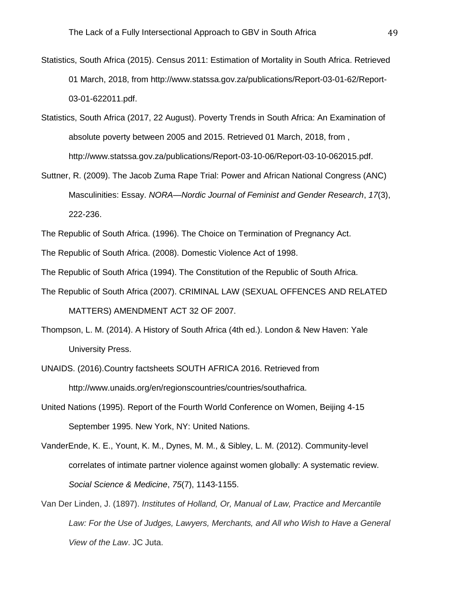- Statistics, South Africa (2015). Census 2011: Estimation of Mortality in South Africa. Retrieved 01 March, 2018, from [http://www.statssa.gov.za/publications/Report-03-01-62/Report-](http://www.statssa.gov.za/publications/Report-03-01-62/Report-03-01-622011.pdf)[03-01-622011.pdf.](http://www.statssa.gov.za/publications/Report-03-01-62/Report-03-01-622011.pdf)
- Statistics, South Africa (2017, 22 August). Poverty Trends in South Africa: An Examination of absolute poverty between 2005 and 2015. Retrieved 01 March, 2018, from , [http://www.statssa.gov.za/publications/Report-03-10-06/Report-03-10-062015.pdf.](http://www.statssa.gov.za/publications/Report-03-10-06/Report-03-10-062015.pdf)
- Suttner, R. (2009). The Jacob Zuma Rape Trial: Power and African National Congress (ANC) Masculinities: Essay. *NORA—Nordic Journal of Feminist and Gender Research*, *17*(3), 222-236.
- The Republic of South Africa. (1996). The Choice on Termination of Pregnancy Act.
- The Republic of South Africa. (2008). Domestic Violence Act of 1998.
- The Republic of South Africa (1994). The Constitution of the Republic of South Africa.
- The Republic of South Africa (2007). CRIMINAL LAW (SEXUAL OFFENCES AND RELATED MATTERS) AMENDMENT ACT 32 OF 2007.
- Thompson, L. M. (2014). A History of South Africa (4th ed.). London & New Haven: Yale University Press.
- UNAIDS. (2016).Country factsheets SOUTH AFRICA 2016. Retrieved from http://www.unaids.org/en/regionscountries/countries/southafrica.
- United Nations (1995). Report of the Fourth World Conference on Women, Beijing 4-15 September 1995. New York, NY: United Nations.
- VanderEnde, K. E., Yount, K. M., Dynes, M. M., & Sibley, L. M. (2012). Community-level correlates of intimate partner violence against women globally: A systematic review. *Social Science & Medicine*, *75*(7), 1143-1155.
- Van Der Linden, J. (1897). *Institutes of Holland, Or, Manual of Law, Practice and Mercantile*  Law: For the Use of Judges, Lawyers, Merchants, and All who Wish to Have a General *View of the Law*. JC Juta.